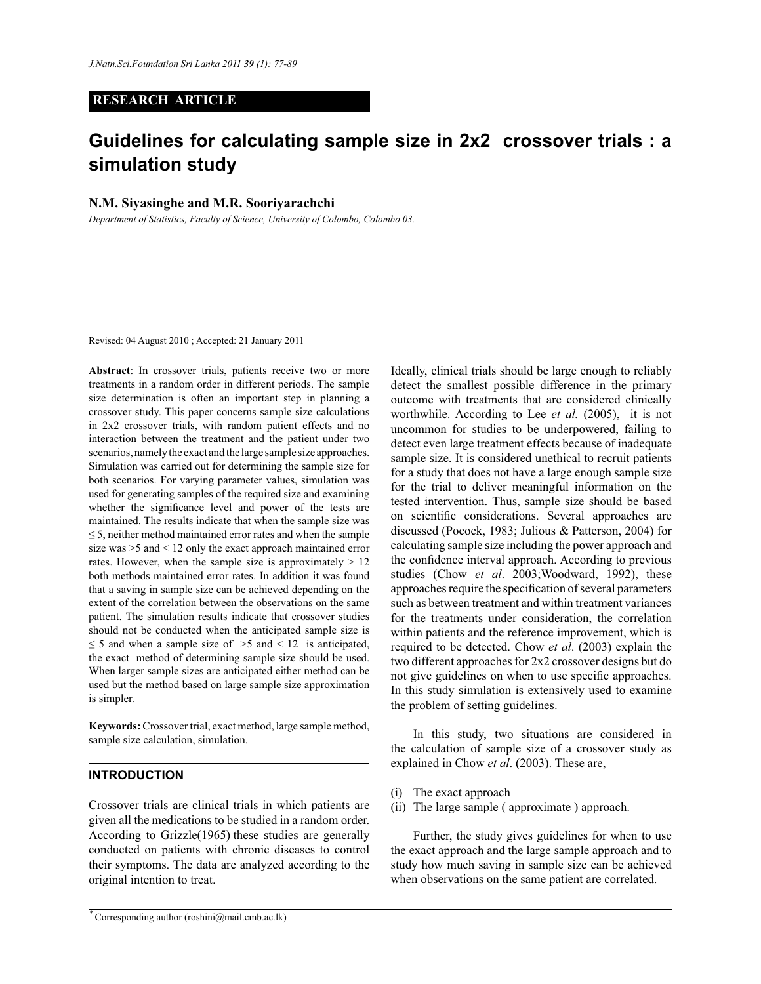# **RESEARCH ARTICLE**

# **Guidelines for calculating sample size in 2x2 crossover trials : a simulation study**

# **N.M. Siyasinghe and M.R. Sooriyarachchi**

*Department of Statistics, Faculty of Science, University of Colombo, Colombo 03.*

Revised: 04 August 2010 ; Accepted: 21 January 2011

**Abstract**: In crossover trials, patients receive two or more treatments in a random order in different periods. The sample size determination is often an important step in planning a crossover study. This paper concerns sample size calculations in 2x2 crossover trials, with random patient effects and no interaction between the treatment and the patient under two scenarios, namely the exact and the large sample size approaches. Simulation was carried out for determining the sample size for both scenarios. For varying parameter values, simulation was used for generating samples of the required size and examining whether the significance level and power of the tests are maintained. The results indicate that when the sample size was  $\leq$  5, neither method maintained error rates and when the sample size was >5 and < 12 only the exact approach maintained error rates. However, when the sample size is approximately  $> 12$ both methods maintained error rates. In addition it was found that a saving in sample size can be achieved depending on the extent of the correlation between the observations on the same patient. The simulation results indicate that crossover studies should not be conducted when the anticipated sample size is  $\leq$  5 and when a sample size of  $>$ 5 and  $<$  12 is anticipated, the exact method of determining sample size should be used. When larger sample sizes are anticipated either method can be used but the method based on large sample size approximation is simpler.

**Keywords:** Crossover trial, exact method, large sample method, sample size calculation, simulation.

## **INTRODUCTION**

Crossover trials are clinical trials in which patients are given all the medications to be studied in a random order. According to Grizzle(1965) these studies are generally conducted on patients with chronic diseases to control their symptoms. The data are analyzed according to the original intention to treat.

*\** Corresponding author (roshini@mail.cmb.ac.lk)

Ideally, clinical trials should be large enough to reliably detect the smallest possible difference in the primary outcome with treatments that are considered clinically worthwhile. According to Lee *et al.* (2005), it is not uncommon for studies to be underpowered, failing to detect even large treatment effects because of inadequate sample size. It is considered unethical to recruit patients for a study that does not have a large enough sample size for the trial to deliver meaningful information on the tested intervention. Thus, sample size should be based on scientific considerations. Several approaches are discussed (Pocock, 1983; Julious & Patterson, 2004) for calculating sample size including the power approach and the confidence interval approach. According to previous studies (Chow *et al*. 2003;Woodward, 1992), these approaches require the specification of several parameters such as between treatment and within treatment variances for the treatments under consideration, the correlation within patients and the reference improvement, which is required to be detected. Chow *et al*. (2003) explain the two different approaches for 2x2 crossover designs but do not give guidelines on when to use specific approaches. In this study simulation is extensively used to examine the problem of setting guidelines.

 In this study, two situations are considered in the calculation of sample size of a crossover study as explained in Chow *et al*. (2003). These are,

- (i) The exact approach
- (ii) The large sample ( approximate ) approach.

 Further, the study gives guidelines for when to use the exact approach and the large sample approach and to study how much saving in sample size can be achieved when observations on the same patient are correlated.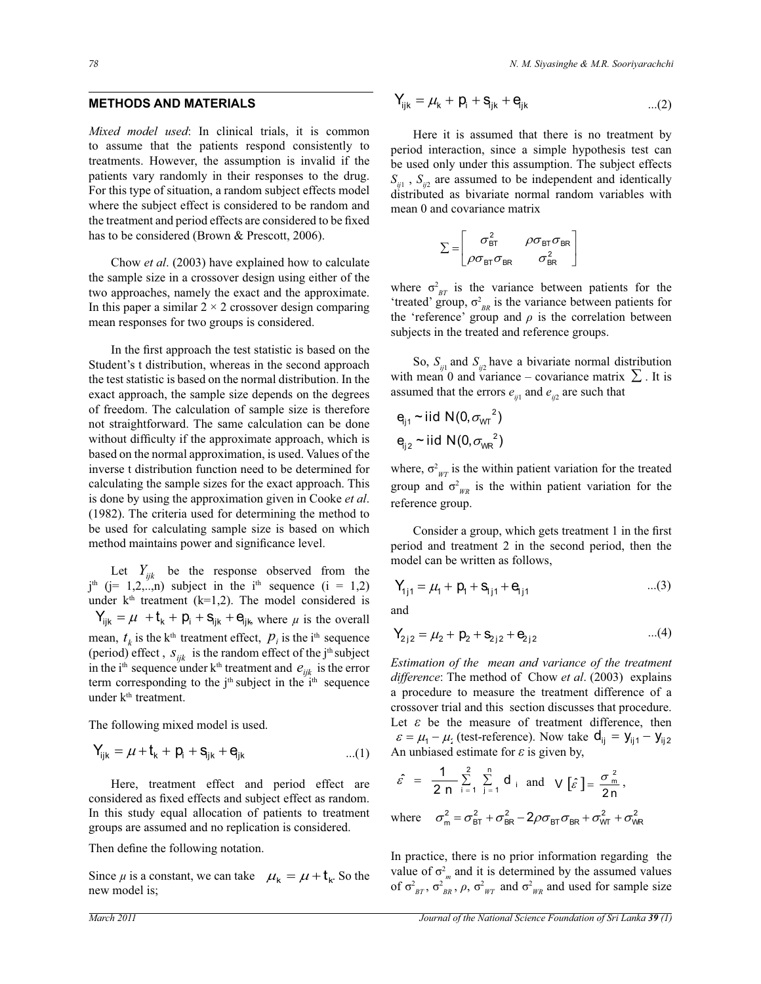*Mixed model used*: In clinical trials, it is common to assume that the patients respond consistently to treatments. However, the assumption is invalid if the patients vary randomly in their responses to the drug. For this type of situation, a random subject effects model where the subject effect is considered to be random and the treatment and period effects are considered to be fixed has to be considered (Brown & Prescott, 2006).

 Chow *et al*. (2003) have explained how to calculate the sample size in a crossover design using either of the two approaches, namely the exact and the approximate. In this paper a similar  $2 \times 2$  crossover design comparing mean responses for two groups is considered.

 In the first approach the test statistic is based on the Student's t distribution, whereas in the second approach the test statistic is based on the normal distribution. In the exact approach, the sample size depends on the degrees of freedom. The calculation of sample size is therefore not straightforward. The same calculation can be done without difficulty if the approximate approach, which is based on the normal approximation, is used. Values of the inverse t distribution function need to be determined for calculating the sample sizes for the exact approach. This 2 is done by using the approximation given in Cooke *et al*. m 2 (1982). The criteria used for determining the method to m be used for calculating sample size is based on which method maintains power and significance level.

Let  $Y_{ijk}$  be the response observed from the  $j<sup>th</sup>$  (j= 1,2,..,n) subject in the i<sup>th</sup> sequence (i = 1,2) under  $k<sup>th</sup>$  treatment (k=1,2). The model considered is  $Y_{ijk} = \mu + t_k + p_i + s_{ijk} + e_{ijk}$ , where  $\mu$  is the overall mean,  $t_k$  is the k<sup>th</sup> treatment effect,  $p_i$  is the i<sup>th</sup> sequence  $\qquad \begin{aligned} \mathsf{Y}_{2j2} = \mu_2 + \mathsf{p}_2 + \mathsf{S}_{2j2} + \mathsf{e}_{2j2} \end{aligned}$ (period) effect,  $S_{ijk}$  is the random effect of the j<sup>th</sup> subject in the i<sup>th</sup> sequence under k<sup>th</sup> treatment and  $e_{ijk}$  is the error term corresponding to the  $j<sup>th</sup>$  subject in the  $i<sup>th</sup>$  sequence under k<sup>th</sup> treatment.

The following mixed model is used.

$$
Y_{ijk}=\mu+t_k+p_i+s_{jk}+e_{jk}\qquad \qquad \ldots (1)
$$

In this study equal anotation of patients to treath Here, treatment effect and period effect are considered as fixed effects and subject effect as random. m In this study equal allocation of patients to treatment

Then define the following notation. r<br>T

Since  $\mu$  is a constant, we can take  $\mu_k = \mu + t_k$ . So the new model is;

..................(3)

$$
Y_{ijk} = \mu_k + p_i + s_{jk} + e_{jk}
$$
...(2)

 Here it is assumed that there is no treatment by period interaction, since a simple hypothesis test can be used only under this assumption. The subject effects  $S_{ij1}$ ,  $S_{ij2}$  are assumed to be independent and identically distributed as bivariate normal random variables with mean 0 and covariance matrix

$$
\Sigma = \begin{bmatrix} \sigma_{\text{BT}}^2 & \rho \sigma_{\text{BT}} \sigma_{\text{BR}} \\ \rho \sigma_{\text{BT}} \sigma_{\text{BR}} & \sigma_{\text{BR}}^2 \end{bmatrix}
$$

subjects in the treated and reference groups. where  $\sigma_{BT}^2$  is the variance between patients for the 'treated' group,  $\sigma_{BR}^2$  is the variance between patients for the 'reference' group and  $\rho$  is the correlation between

with mean 0 and variance – covariance matrix  $\sum$ . It is So,  $S_{ii}$  and  $S_{ii}$  have a bivariate normal distribution assumed that the errors  $e_{ij1}$  and  $e_{ij2}$  are such that

$$
e_{j1} \sim \text{iid } N(0, \sigma_{\text{WT}}^2)
$$
  

$$
e_{j2} \sim \text{iid } N(0, \sigma_{\text{WR}}^2)
$$

 $\mu$ . reference group. where,  $\sigma_{\eta_T}^2$  is the within patient variation for the treated group and  $\sigma_{WR}^2$  is the within patient variation for the

 $\overline{1}$ ,  $\overline{5}$ ,  $\overline{5}$  Consider a group, which gets treatment 1 in the first period and treatment 2 in the second period, then the model can be written as follows,

$$
Y_{1j1} = \mu_1 + p_1 + s_{1j1} + e_{j11}
$$
...(3)

and

$$
Y_{2j2} = \mu_2 + p_2 + s_{2j2} + e_{2j2}
$$
...(4)

0 *Estimation of the mean and variance of the treatment*   $\varepsilon = \mu_1 - \mu_2$  (test-reference). Now take  $d_{ij} = y_{ij1} - y_{ij2}$ crossover trial and this section discusses that procedure. Let  $\varepsilon$  be the measure of treatment difference, then An unbiased estimate for  $\varepsilon$  is given by, *difference*: The method of Chow *et al*. (2003) explains a procedure to measure the treatment difference of a

$$
\hat{\varepsilon} = \frac{1}{2 n} \sum_{i=1}^{2} \sum_{j=1}^{n} d_i \text{ and } \sqrt{\hat{\varepsilon}} = \frac{\sigma_m^2}{2 n},
$$
  
where  $\sigma_m^2 = \sigma_{BT}^2 + \sigma_{BR}^2 - 2\rho \sigma_{BT} \sigma_{BR} + \sigma_{WT}^2 + \sigma_{WR}^2$ 

value of  $\sigma^2$ <sub>m</sub> and it is determined by the assumed values In practice, there is no In practice, there is no prior information regarding the of  $\sigma_{BT}^2$ ,  $\sigma_{BR}^2$ ,  $\rho$ ,  $\sigma_{WT}^2$  and  $\sigma_{WR}^2$  and used for sample size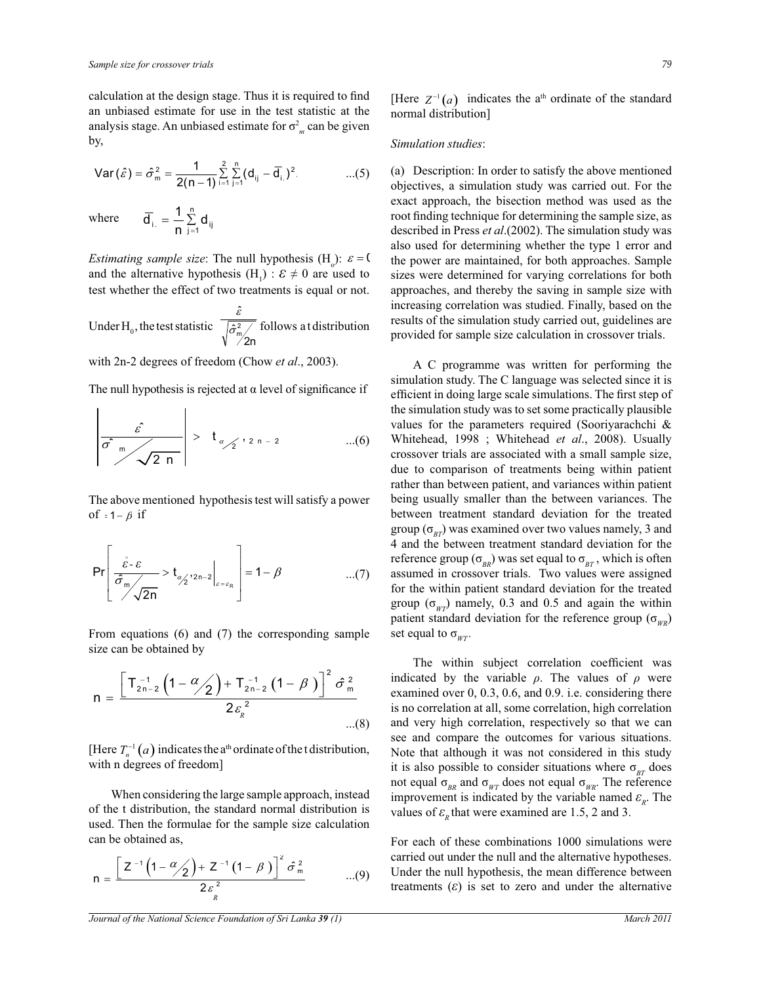calculation at the design stage. Thus it is required to find an unbiased estimate for use in the test statistic at the analysis stage. An unbiased estimate for  $\sigma_m^2$  can be given by,

Var 
$$
(\hat{\varepsilon}) = \hat{\sigma}_m^2 = \frac{1}{2(n-1)} \sum_{i=1}^{2} \sum_{j=1}^{n} (d_{ij} - \overline{d}_{i.})^2
$$
 ...(5)

where

Ĭ.

*Estimating sample size*: The null hypothesis  $(H_0)$ :  $\varepsilon = 0$ and the alternative hypothesis  $(H_1)$ :  $\varepsilon \neq 0$  are used to test whether the effect of two treatments is equal or not.

ij n  $j_{i} = \frac{1}{n} \sum_{j=1}^{n} d_j$  $d_{i} = -\frac{1}{n} \sum_{j=1}^{n}$ 1  $=\frac{1}{n}\sum_{j=1}^{n}d_{ij}$ 

, . . . . . . . . . . . . . . ( 6 ) Under  $H_0$ , the test statistic  $\frac{m}{2}$ n ˆ ˆ  $\hat{\sigma}^2$ ε follows a t distribution

with 2n-2 degrees of freedom (Chow *et al*., 2003).

The null hypothesis is rejected at  $\alpha$  level of significance if

$$
\left|\frac{\hat{\varepsilon}}{\hat{\sigma}^2 \sin \left(\frac{\hat{\varepsilon}}{2} + \frac{1}{2} \sin \left(\frac{\hat{\varepsilon}}{2}\right)\right)}\right| > t_{\alpha/2}, \quad \text{and} \quad \text{and} \quad \text{and} \quad \text{and} \quad \text{and} \quad \text{and} \quad \text{and} \quad \text{and} \quad \text{and} \quad \text{and} \quad \text{and} \quad \text{and} \quad \text{and} \quad \text{and} \quad \text{and} \quad \text{and} \quad \text{and} \quad \text{and} \quad \text{and} \quad \text{and} \quad \text{and} \quad \text{and} \quad \text{and} \quad \text{and} \quad \text{and} \quad \text{and} \quad \text{and} \quad \text{and} \quad \text{and} \quad \text{and} \quad \text{and} \quad \text{and} \quad \text{and} \quad \text{and} \quad \text{and} \quad \text{and} \quad \text{and} \quad \text{and} \quad \text{and} \quad \text{and} \quad \text{and} \quad \text{and} \quad \text{and} \quad \text{and} \quad \text{and} \quad \text{and} \quad \text{and} \quad \text{and} \quad \text{and} \quad \text{and} \quad \text{and} \quad \text{and} \quad \text{and} \quad \text{and} \quad \text{and} \quad \text{and} \quad \text{and} \quad \text{and} \quad \text{and} \quad \text{and} \quad \text{and} \quad \text{and} \quad \text{and} \quad \text{and} \quad \text{and} \quad \text{and} \quad \text{and} \quad \text{and} \quad \text{and} \quad \text{and} \quad \text{and} \quad \text{and} \quad \text{and} \quad \text{and} \quad \text{and} \quad \text{and} \quad \text{and} \quad \text{and} \quad \text{and} \quad \text{and} \quad \text{and} \quad \text{and} \quad \text{and} \quad \text{and} \quad \text{and} \quad \text{and} \quad \text{and} \quad \text{and} \quad \text{and} \quad \text{and} \quad \text{and} \quad \text{and} \quad \text{and} \quad \text{and} \quad \text{and} \quad \text{and} \quad \text{and} \quad \text{and} \
$$

The above mentioned hypothesis test will satisfy a power of  $= 1 - \beta$  if  $\frac{11}{c}$ 

$$
\Pr\left[\frac{\hat{\varepsilon} \cdot \varepsilon}{\hat{\sigma}_{m}} > t_{\alpha/2}^{2} \cdot 2n-2}\bigg|_{\varepsilon = \varepsilon_{R}}\right] = 1 - \beta \quad ...(7)
$$

From equations (6) and (7) the corresponding sample size can be obtained by

$$
n = \frac{\left[T_{2n-2}^{-1}\left(1-\frac{\alpha}{2}\right)+T_{2n-2}^{-1}\left(1-\beta\right)\right]^2\hat{\sigma}_m^2}{2\varepsilon_{\hat{k}}^2}
$$
...(8)

[Here  $T_n^{-1}(a)$  indicates the a<sup>th</sup> ordinate of the t distribution, with n degrees of freedom]

When considering the large sample approach, instead of the t distribution, the standard normal distribution is used. Then the formulae for the sample size calculation can be obtained as,

$$
n = \frac{\left[ Z^{-1} \left( 1 - \frac{\alpha}{2} \right) + Z^{-1} \left( 1 - \beta \right) \right]^2 \hat{\sigma}_m^2}{2 \varepsilon_R^2}
$$
...(9)

*Journal of the National Science Foundation of Sri Lanka 39 (1)* March 2011

[Here  $Z^{-1}(a)$  indicates the a<sup>th</sup> ordinate of the standard normal distribution]

#### *Simulation studies*:

(a) Description: In order to satisfy the above mentioned objectives, a simulation study was carried out. For the exact approach, the bisection method was used as the root finding technique for determining the sample size, as described in Press *et al*.(2002). The simulation study was also used for determining whether the type 1 error and the power are maintained, for both approaches. Sample sizes were determined for varying correlations for both approaches, and thereby the saving in sample size with increasing correlation was studied. Finally, based on the results of the simulation study carried out, guidelines are provided for sample size calculation in crossover trials.

 A C programme was written for performing the simulation study. The C language was selected since it is efficient in doing large scale simulations. The first step of the simulation study was to set some practically plausible values for the parameters required (Sooriyarachchi & Whitehead, 1998 ; Whitehead *et al*., 2008). Usually crossover trials are associated with a small sample size, due to comparison of treatments being within patient rather than between patient, and variances within patient being usually smaller than the between variances. The between treatment standard deviation for the treated group ( $\sigma_{BT}$ ) was examined over two values namely, 3 and 4 and the between treatment standard deviation for the reference group ( $\sigma_{\scriptscriptstyle BP}$ ) was set equal to  $\sigma_{\scriptscriptstyle BT}$ , which is often assumed in crossover trials. Two values were assigned for the within patient standard deviation for the treated group ( $\sigma_{wr}$ ) namely, 0.3 and 0.5 and again the within patient standard deviation for the reference group ( $\sigma_{W/R}$ ) set equal to  $\sigma_{wr}$ *.* 

 The within subject correlation coefficient was indicated by the variable  $\rho$ . The values of  $\rho$  were examined over  $0, 0.3, 0.6,$  and  $0.9$ . i.e. considering there is no correlation at all, some correlation, high correlation and very high correlation, respectively so that we can see and compare the outcomes for various situations. Note that although it was not considered in this study it is also possible to consider situations where  $\sigma_{BT}$  does not equal  $σ_{BR}$  and  $σ_{WT}$  does not equal  $σ_{WR}$ . The reference improvement is indicated by the variable named  $\varepsilon_R$ . The values of  $\varepsilon$ <sub>*R*</sub> that were examined are 1.5, 2 and 3.

For each of these combinations 1000 simulations were carried out under the null and the alternative hypotheses. Under the null hypothesis, the mean difference between treatments  $(\varepsilon)$  is set to zero and under the alternative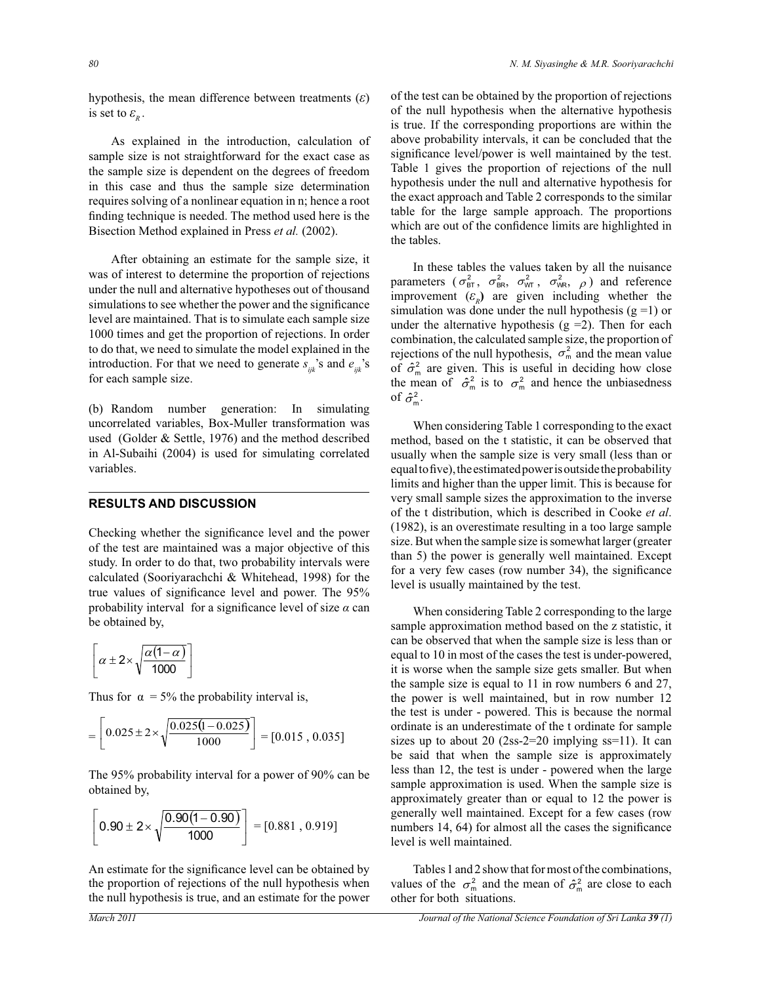hypothesis, the mean difference between treatments (*ε*) is set to  $\varepsilon_{R}$ .

 As explained in the introduction, calculation of sample size is not straightforward for the exact case as the sample size is dependent on the degrees of freedom in this case and thus the sample size determination requires solving of a nonlinear equation in n; hence a root finding technique is needed. The method used here is the Bisection Method explained in Press *et al.* (2002).

 After obtaining an estimate for the sample size, it was of interest to determine the proportion of rejections under the null and alternative hypotheses out of thousand simulations to see whether the power and the significance level are maintained. That is to simulate each sample size 1000 times and get the proportion of rejections. In order to do that, we need to simulate the model explained in the introduction. For that we need to generate  $s_{ijk}$ 's and  $e_{ijk}$ 's for each sample size.

(b) Random number generation: In simulating uncorrelated variables, Box-Muller transformation was used (Golder & Settle, 1976) and the method described in Al-Subaihi (2004) is used for simulating correlated variables.

## **RESULTS AND DISCUSSION**

Checking whether the significance level and the power of the test are maintained was a major objective of this study. In order to do that, two probability intervals were calculated (Sooriyarachchi & Whitehead, 1998) for the true values of significance level and power. The 95% probability interval for a significance level of size *α* can be obtained by,

$$
\left[\alpha \pm 2 \times \sqrt{\frac{\alpha(1-\alpha)}{1000}}\right]
$$

Thus for  $\alpha = 5\%$  the probability interval is,

$$
= \left[0.025 \pm 2 \times \sqrt{\frac{0.025(1 - 0.025)}{1000}}\right] = [0.015, 0.035]
$$

The 95% probability interval for a power of 90% can be obtained by,

$$
\left[0.90 \pm 2 \times \sqrt{\frac{0.90(1 - 0.90)}{1000}}\right] = [0.881, 0.919]
$$

An estimate for the significance level can be obtained by the proportion of rejections of the null hypothesis when the null hypothesis is true, and an estimate for the power of the test can be obtained by the proportion of rejections of the null hypothesis when the alternative hypothesis is true. If the corresponding proportions are within the above probability intervals, it can be concluded that the significance level/power is well maintained by the test. Table 1 gives the proportion of rejections of the null hypothesis under the null and alternative hypothesis for the exact approach and Table 2 corresponds to the similar table for the large sample approach. The proportions which are out of the confidence limits are highlighted in the tables.

 In these tables the values taken by all the nuisance parameters  $(\sigma_{BT}^2, \sigma_{BR}^2, \sigma_{WT}^2, \sigma_{WR}^2, \rho)$  and reference improvement  $(\varepsilon_R)$  are given including whether the simulation was done under the null hypothesis  $(g = 1)$  or under the alternative hypothesis  $(g = 2)$ . Then for each combination, the calculated sample size, the proportion of rejections of the null hypothesis,  $\sigma_m^2$  and the mean value of  $\hat{\sigma}_{\text{m}}^2$  are given. This is useful in deciding how close the mean of  $\hat{\sigma}_{m}^{2}$  is to  $\sigma_{m}^{2}$  and hence the unbiasedness of  $\hat{\sigma}_{\rm m}^2$ .

 When considering Table 1 corresponding to the exact method, based on the t statistic, it can be observed that usually when the sample size is very small (less than or equal to five), the estimated power is outside the probability limits and higher than the upper limit. This is because for very small sample sizes the approximation to the inverse of the t distribution, which is described in Cooke *et al*. (1982), is an overestimate resulting in a too large sample size. But when the sample size is somewhat larger (greater than 5) the power is generally well maintained. Except for a very few cases (row number 34), the significance level is usually maintained by the test.

 When considering Table 2 corresponding to the large sample approximation method based on the z statistic, it can be observed that when the sample size is less than or equal to 10 in most of the cases the test is under-powered, it is worse when the sample size gets smaller. But when the sample size is equal to 11 in row numbers 6 and 27, the power is well maintained, but in row number 12 the test is under - powered. This is because the normal ordinate is an underestimate of the t ordinate for sample sizes up to about 20  $(2ss-2=20 \text{ implying ss}=11)$ . It can be said that when the sample size is approximately less than 12, the test is under - powered when the large sample approximation is used. When the sample size is approximately greater than or equal to 12 the power is generally well maintained. Except for a few cases (row numbers 14, 64) for almost all the cases the significance level is well maintained.

 Tables 1 and 2 show that for most of the combinations, values of the  $\sigma_m^2$  and the mean of  $\hat{\sigma}_m^2$  are close to each other for both situations.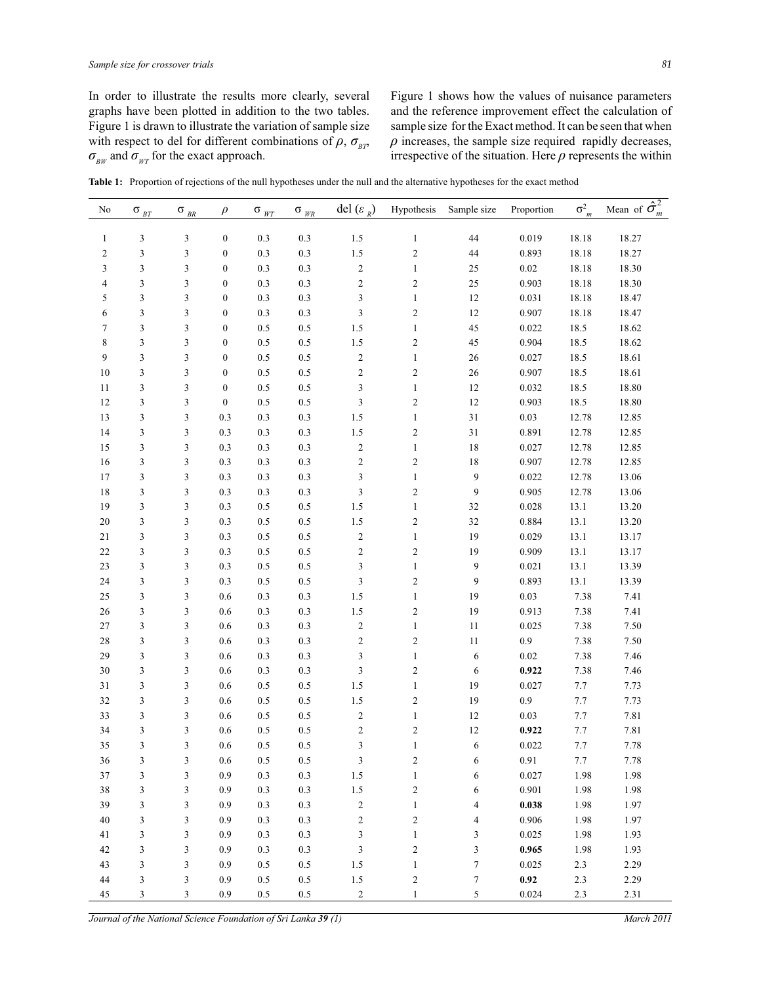In order to illustrate the results more clearly, several graphs have been plotted in addition to the two tables. Figure 1 is drawn to illustrate the variation of sample size with respect to del for different combinations of  $\rho$ ,  $\sigma_{\text{BP}}$ ,  $\sigma_{BW}$  and  $\sigma_{WT}$  for the exact approach.

Figure 1 shows how the values of nuisance parameters and the reference improvement effect the calculation of sample size for the Exact method. It can be seen that when  $\rho$  increases, the sample size required rapidly decreases, irrespective of the situation. Here  $\rho$  represents the within

**Table 1:** Proportion of rejections of the null hypotheses under the null and the alternative hypotheses for the exact method

| $\ensuremath{\mathfrak{Z}}$<br>3<br>$\boldsymbol{0}$<br>$0.3\,$<br>0.3<br>1.5<br>$\bf 44$<br>0.019<br>18.18<br>18.27<br>$\mathbf{1}$<br>$\mathbf{1}$<br>$\mathfrak z$<br>3<br>$\boldsymbol{0}$<br>0.3<br>0.3<br>1.5<br>$\overline{\mathbf{c}}$<br>44<br>18.27<br>$\mathbf{2}$<br>0.893<br>18.18<br>$\overline{\mathbf{c}}$<br>18.30<br>3<br>$\mathfrak{Z}$<br>3<br>$\boldsymbol{0}$<br>0.3<br>0.3<br>25<br>$0.02\,$<br>18.18<br>$\mathbf{1}$<br>$\sqrt{2}$<br>$\mathfrak{Z}$<br>3<br>$\boldsymbol{0}$<br>0.3<br>0.3<br>$\overline{\mathbf{c}}$<br>25<br>0.903<br>18.18<br>18.30<br>4<br>$\mathfrak{Z}$<br>12<br>5<br>$\mathfrak{Z}$<br>3<br>$\boldsymbol{0}$<br>0.3<br>0.3<br>$\,1\,$<br>0.031<br>18.18<br>18.47<br>$\mathfrak{Z}$<br>$\mathfrak{Z}$<br>3<br>$\boldsymbol{0}$<br>0.3<br>0.3<br>$\overline{\mathbf{c}}$<br>$12\,$<br>0.907<br>18.18<br>18.47<br>6<br>45<br>$\boldsymbol{7}$<br>$\mathfrak{Z}$<br>3<br>$\boldsymbol{0}$<br>0.5<br>0.5<br>1.5<br>$\,1\,$<br>0.022<br>18.5<br>18.62<br>8<br>$\mathfrak{Z}$<br>3<br>$\boldsymbol{0}$<br>0.5<br>0.5<br>1.5<br>$\overline{\mathbf{c}}$<br>45<br>0.904<br>18.5<br>18.62<br>9<br>$\mathfrak{Z}$<br>3<br>$\boldsymbol{0}$<br>0.5<br>0.5<br>$\sqrt{2}$<br>$\,1\,$<br>$26\,$<br>0.027<br>18.5<br>18.61<br>$\overline{\mathbf{c}}$<br>18.61<br>$\mathfrak{Z}$<br>3<br>$\boldsymbol{0}$<br>0.5<br>0.5<br>$\overline{\mathbf{c}}$<br>26<br>0.907<br>18.5<br>10<br>$\mathfrak{Z}$<br>$\mathfrak{Z}$<br>3<br>$\boldsymbol{0}$<br>0.5<br>0.5<br>$\mathbf{1}$<br>$12\,$<br>0.032<br>18.5<br>18.80<br>11<br>$\mathfrak{Z}$<br>$\overline{\mathbf{c}}$<br>12<br>$\mathfrak{Z}$<br>3<br>$\boldsymbol{0}$<br>0.5<br>0.5<br>0.903<br>18.5<br>18.80<br>12<br>$\mathfrak{Z}$<br>3<br>0.3<br>0.3<br>0.3<br>1.5<br>31<br>0.03<br>12.78<br>12.85<br>13<br>$\mathbf{1}$<br>$\overline{\mathbf{c}}$<br>31<br>$\mathfrak{Z}$<br>3<br>0.3<br>0.3<br>0.3<br>1.5<br>0.891<br>12.78<br>12.85<br>14<br>$\mathfrak{Z}$<br>3<br>0.3<br>0.3<br>0.3<br>$\sqrt{2}$<br>$18\,$<br>12.78<br>12.85<br>15<br>$\mathbf{1}$<br>0.027<br>$\sqrt{2}$<br>$\overline{\mathbf{c}}$<br>12.85<br>$\mathfrak{Z}$<br>3<br>0.3<br>0.3<br>0.3<br>$18\,$<br>0.907<br>12.78<br>16<br>$\mathfrak{Z}$<br>9<br>$\mathfrak{Z}$<br>3<br>0.3<br>0.3<br>0.3<br>0.022<br>12.78<br>13.06<br>17<br>$\mathbf{1}$<br>$\mathfrak{Z}$<br>$\overline{\mathbf{c}}$<br>9<br>18<br>$\mathfrak{Z}$<br>3<br>0.3<br>0.3<br>0.3<br>0.905<br>12.78<br>13.06<br>19<br>$\mathfrak{Z}$<br>3<br>0.3<br>0.5<br>0.5<br>1.5<br>32<br>0.028<br>13.1<br>13.20<br>$\mathbf{1}$<br>32<br>$\mathfrak{Z}$<br>3<br>0.3<br>0.5<br>0.5<br>1.5<br>$\overline{\mathbf{c}}$<br>0.884<br>13.1<br>13.20<br>20<br>19<br>$21\,$<br>$\mathfrak{Z}$<br>3<br>0.3<br>0.5<br>0.5<br>$\sqrt{2}$<br>$\,1\,$<br>0.029<br>13.1<br>13.17<br>$\sqrt{2}$<br>$\overline{\mathbf{c}}$<br>22<br>$\mathfrak{Z}$<br>3<br>0.3<br>0.5<br>0.5<br>19<br>0.909<br>13.1<br>13.17<br>$\mathfrak{Z}$<br>9<br>13.39<br>23<br>$\mathfrak{Z}$<br>3<br>0.3<br>0.5<br>0.5<br>$\,1\,$<br>0.021<br>13.1<br>$\mathfrak{Z}$<br>24<br>$\mathfrak{Z}$<br>3<br>0.3<br>0.5<br>0.5<br>$\overline{\mathbf{c}}$<br>9<br>0.893<br>13.1<br>13.39<br>7.38<br>25<br>$\mathfrak{Z}$<br>3<br>$0.6\,$<br>0.3<br>0.3<br>1.5<br>$\,1\,$<br>19<br>0.03<br>7.41<br>7.38<br>26<br>$\mathfrak{Z}$<br>3<br>$0.6\,$<br>0.3<br>0.3<br>1.5<br>$\overline{\mathbf{c}}$<br>19<br>0.913<br>7.41<br>7.38<br>$27\,$<br>$\mathfrak{Z}$<br>3<br>$0.6\,$<br>0.3<br>0.3<br>$\sqrt{2}$<br>$\,1\,$<br>$11\,$<br>0.025<br>7.50<br>$\sqrt{2}$<br>$\overline{\mathbf{c}}$<br>0.9<br>7.38<br>28<br>$\mathfrak{Z}$<br>3<br>$0.6\,$<br>0.3<br>0.3<br>$11\,$<br>7.50<br>$\mathfrak{Z}$<br>7.38<br>7.46<br>29<br>$\mathfrak{Z}$<br>3<br>$0.6\,$<br>0.3<br>0.3<br>6<br>$0.02\,$<br>$\mathbf{1}$<br>$\mathfrak{Z}$<br>$\overline{\mathbf{c}}$<br>30<br>$\mathfrak{Z}$<br>3<br>$0.6\,$<br>0.3<br>0.3<br>6<br>0.922<br>7.38<br>7.46<br>$31\,$<br>$\mathfrak{Z}$<br>3<br>$0.6\,$<br>0.5<br>1.5<br>19<br>0.027<br>$7.7\,$<br>7.73<br>0.5<br>$\mathbf{1}$<br>$\overline{\mathbf{c}}$<br>0.9<br>$7.7\,$<br>7.73<br>32<br>$\mathfrak{Z}$<br>3<br>$0.6\,$<br>0.5<br>0.5<br>1.5<br>19<br>7.81<br>33<br>3<br>$0.6\,$<br>0.5<br>0.5<br>$\sqrt{2}$<br>$12\,$<br>0.03<br>$7.7\,$<br>3<br>$\mathbf{1}$<br>$\sqrt{2}$<br>$12\,$<br>7.81<br>34<br>$\mathfrak{Z}$<br>3<br>$0.6\,$<br>0.5<br>0.5<br>$\overline{\mathbf{c}}$<br>0.922<br>$7.7\,$<br>3<br>$\mathfrak{Z}$<br>35<br>3<br>$0.6\,$<br>0.5<br>0.5<br>6<br>0.022<br>$7.7\,$<br>7.78<br>$\mathbf{1}$<br>$\mathfrak z$<br>$0.5\,$<br>$\mathfrak{Z}$<br>$\sqrt{2}$<br>0.91<br>$7.7\,$<br>36<br>3<br>0.6<br>0.5<br>$\sqrt{6}$<br>7.78<br>37<br>$\ensuremath{\mathfrak{Z}}$<br>3<br>0.9<br>$0.3\,$<br>$0.3\,$<br>$1.5\,$<br>$\,1$<br>6<br>0.027<br>1.98<br>1.98<br>38<br>$\ensuremath{\mathfrak{Z}}$<br>3<br>$0.3\,$<br>$0.3\,$<br>$1.5\,$<br>$\boldsymbol{2}$<br>0.901<br>1.98<br>0.9<br>6<br>1.98<br>$\sqrt{2}$<br>39<br>$\mathfrak{Z}$<br>3<br>$0.3\,$<br>$0.3\,$<br>$\,1$<br>0.038<br>1.98<br>0.9<br>$\overline{4}$<br>1.97<br>$\sqrt{2}$<br>$\ensuremath{\mathfrak{Z}}$<br>3<br>$0.3\,$<br>$0.3\,$<br>$\boldsymbol{2}$<br>0.906<br>1.98<br>40<br>0.9<br>$\overline{4}$<br>1.97<br>3<br>$\mathfrak{Z}$<br>$\mathfrak z$<br>$0.3\,$<br>$0.3\,$<br>$\,1$<br>$\ensuremath{\mathfrak{Z}}$<br>0.025<br>1.98<br>41<br>0.9<br>1.93<br>$\ensuremath{\mathfrak{Z}}$<br>3<br>$0.3\,$<br>$\ensuremath{\mathfrak{Z}}$<br>$\boldsymbol{2}$<br>3<br>42<br>0.9<br>0.3<br>0.965<br>1.98<br>1.93<br>3<br>$\mathfrak{Z}$<br>$0.5\,$<br>$\,1$<br>$\boldsymbol{7}$<br>$2.3\,$<br>43<br>0.9<br>0.5<br>1.5<br>0.025<br>2.29<br>44<br>$\ensuremath{\mathfrak{Z}}$<br>3<br>0.9<br>$0.5\,$<br>$\overline{\mathbf{c}}$<br>$\boldsymbol{7}$<br>0.92<br>$2.3\,$<br>0.5<br>1.5<br>2.29 | No | $\sigma_{B\underline{T}}$ | $\sigma$ <sub><i>BR</i></sub> | $\rho$ | $\sigma$ <sub>WT</sub> | $\sigma$ <sub>WR</sub> | del $(\varepsilon_R)$ | Hypothesis   | Sample size    | Proportion | $\sigma_{m}^2$ | Mean of $\hat{\sigma}_m^2$ |
|---------------------------------------------------------------------------------------------------------------------------------------------------------------------------------------------------------------------------------------------------------------------------------------------------------------------------------------------------------------------------------------------------------------------------------------------------------------------------------------------------------------------------------------------------------------------------------------------------------------------------------------------------------------------------------------------------------------------------------------------------------------------------------------------------------------------------------------------------------------------------------------------------------------------------------------------------------------------------------------------------------------------------------------------------------------------------------------------------------------------------------------------------------------------------------------------------------------------------------------------------------------------------------------------------------------------------------------------------------------------------------------------------------------------------------------------------------------------------------------------------------------------------------------------------------------------------------------------------------------------------------------------------------------------------------------------------------------------------------------------------------------------------------------------------------------------------------------------------------------------------------------------------------------------------------------------------------------------------------------------------------------------------------------------------------------------------------------------------------------------------------------------------------------------------------------------------------------------------------------------------------------------------------------------------------------------------------------------------------------------------------------------------------------------------------------------------------------------------------------------------------------------------------------------------------------------------------------------------------------------------------------------------------------------------------------------------------------------------------------------------------------------------------------------------------------------------------------------------------------------------------------------------------------------------------------------------------------------------------------------------------------------------------------------------------------------------------------------------------------------------------------------------------------------------------------------------------------------------------------------------------------------------------------------------------------------------------------------------------------------------------------------------------------------------------------------------------------------------------------------------------------------------------------------------------------------------------------------------------------------------------------------------------------------------------------------------------------------------------------------------------------------------------------------------------------------------------------------------------------------------------------------------------------------------------------------------------------------------------------------------------------------------------------------------------------------------------------------------------------------------------------------------------------------------------------------------------------------------------------------------------------------------------------------------------------------------------------------------------------------------------------------------------------------------------------------------------------------------------------------------------------------------------------------------------------------------------------------------------------------------------------------------------------------------------------------------------------------------------------------------------------------------------------------------------------------------------------------------------------------------------------------------------------------------------------------------------------------------------------------------------------------------------------------------------------------------------------------------------------------------------------------------------------------------------------------------------------------------------------------------------------------------------------------------------------------------------------------------------------------------------------------------------------------------------------------------------------------------------------------------------------------------------------------------------------------------------------------------------------------------------------------------------------------------------------------------------------------------------------------------------------------|----|---------------------------|-------------------------------|--------|------------------------|------------------------|-----------------------|--------------|----------------|------------|----------------|----------------------------|
|                                                                                                                                                                                                                                                                                                                                                                                                                                                                                                                                                                                                                                                                                                                                                                                                                                                                                                                                                                                                                                                                                                                                                                                                                                                                                                                                                                                                                                                                                                                                                                                                                                                                                                                                                                                                                                                                                                                                                                                                                                                                                                                                                                                                                                                                                                                                                                                                                                                                                                                                                                                                                                                                                                                                                                                                                                                                                                                                                                                                                                                                                                                                                                                                                                                                                                                                                                                                                                                                                                                                                                                                                                                                                                                                                                                                                                                                                                                                                                                                                                                                                                                                                                                                                                                                                                                                                                                                                                                                                                                                                                                                                                                                                                                                                                                                                                                                                                                                                                                                                                                                                                                                                                                                                                                                                                                                                                                                                                                                                                                                                                                                                                                                                                                                                                     |    |                           |                               |        |                        |                        |                       |              |                |            |                |                            |
|                                                                                                                                                                                                                                                                                                                                                                                                                                                                                                                                                                                                                                                                                                                                                                                                                                                                                                                                                                                                                                                                                                                                                                                                                                                                                                                                                                                                                                                                                                                                                                                                                                                                                                                                                                                                                                                                                                                                                                                                                                                                                                                                                                                                                                                                                                                                                                                                                                                                                                                                                                                                                                                                                                                                                                                                                                                                                                                                                                                                                                                                                                                                                                                                                                                                                                                                                                                                                                                                                                                                                                                                                                                                                                                                                                                                                                                                                                                                                                                                                                                                                                                                                                                                                                                                                                                                                                                                                                                                                                                                                                                                                                                                                                                                                                                                                                                                                                                                                                                                                                                                                                                                                                                                                                                                                                                                                                                                                                                                                                                                                                                                                                                                                                                                                                     |    |                           |                               |        |                        |                        |                       |              |                |            |                |                            |
|                                                                                                                                                                                                                                                                                                                                                                                                                                                                                                                                                                                                                                                                                                                                                                                                                                                                                                                                                                                                                                                                                                                                                                                                                                                                                                                                                                                                                                                                                                                                                                                                                                                                                                                                                                                                                                                                                                                                                                                                                                                                                                                                                                                                                                                                                                                                                                                                                                                                                                                                                                                                                                                                                                                                                                                                                                                                                                                                                                                                                                                                                                                                                                                                                                                                                                                                                                                                                                                                                                                                                                                                                                                                                                                                                                                                                                                                                                                                                                                                                                                                                                                                                                                                                                                                                                                                                                                                                                                                                                                                                                                                                                                                                                                                                                                                                                                                                                                                                                                                                                                                                                                                                                                                                                                                                                                                                                                                                                                                                                                                                                                                                                                                                                                                                                     |    |                           |                               |        |                        |                        |                       |              |                |            |                |                            |
|                                                                                                                                                                                                                                                                                                                                                                                                                                                                                                                                                                                                                                                                                                                                                                                                                                                                                                                                                                                                                                                                                                                                                                                                                                                                                                                                                                                                                                                                                                                                                                                                                                                                                                                                                                                                                                                                                                                                                                                                                                                                                                                                                                                                                                                                                                                                                                                                                                                                                                                                                                                                                                                                                                                                                                                                                                                                                                                                                                                                                                                                                                                                                                                                                                                                                                                                                                                                                                                                                                                                                                                                                                                                                                                                                                                                                                                                                                                                                                                                                                                                                                                                                                                                                                                                                                                                                                                                                                                                                                                                                                                                                                                                                                                                                                                                                                                                                                                                                                                                                                                                                                                                                                                                                                                                                                                                                                                                                                                                                                                                                                                                                                                                                                                                                                     |    |                           |                               |        |                        |                        |                       |              |                |            |                |                            |
|                                                                                                                                                                                                                                                                                                                                                                                                                                                                                                                                                                                                                                                                                                                                                                                                                                                                                                                                                                                                                                                                                                                                                                                                                                                                                                                                                                                                                                                                                                                                                                                                                                                                                                                                                                                                                                                                                                                                                                                                                                                                                                                                                                                                                                                                                                                                                                                                                                                                                                                                                                                                                                                                                                                                                                                                                                                                                                                                                                                                                                                                                                                                                                                                                                                                                                                                                                                                                                                                                                                                                                                                                                                                                                                                                                                                                                                                                                                                                                                                                                                                                                                                                                                                                                                                                                                                                                                                                                                                                                                                                                                                                                                                                                                                                                                                                                                                                                                                                                                                                                                                                                                                                                                                                                                                                                                                                                                                                                                                                                                                                                                                                                                                                                                                                                     |    |                           |                               |        |                        |                        |                       |              |                |            |                |                            |
|                                                                                                                                                                                                                                                                                                                                                                                                                                                                                                                                                                                                                                                                                                                                                                                                                                                                                                                                                                                                                                                                                                                                                                                                                                                                                                                                                                                                                                                                                                                                                                                                                                                                                                                                                                                                                                                                                                                                                                                                                                                                                                                                                                                                                                                                                                                                                                                                                                                                                                                                                                                                                                                                                                                                                                                                                                                                                                                                                                                                                                                                                                                                                                                                                                                                                                                                                                                                                                                                                                                                                                                                                                                                                                                                                                                                                                                                                                                                                                                                                                                                                                                                                                                                                                                                                                                                                                                                                                                                                                                                                                                                                                                                                                                                                                                                                                                                                                                                                                                                                                                                                                                                                                                                                                                                                                                                                                                                                                                                                                                                                                                                                                                                                                                                                                     |    |                           |                               |        |                        |                        |                       |              |                |            |                |                            |
|                                                                                                                                                                                                                                                                                                                                                                                                                                                                                                                                                                                                                                                                                                                                                                                                                                                                                                                                                                                                                                                                                                                                                                                                                                                                                                                                                                                                                                                                                                                                                                                                                                                                                                                                                                                                                                                                                                                                                                                                                                                                                                                                                                                                                                                                                                                                                                                                                                                                                                                                                                                                                                                                                                                                                                                                                                                                                                                                                                                                                                                                                                                                                                                                                                                                                                                                                                                                                                                                                                                                                                                                                                                                                                                                                                                                                                                                                                                                                                                                                                                                                                                                                                                                                                                                                                                                                                                                                                                                                                                                                                                                                                                                                                                                                                                                                                                                                                                                                                                                                                                                                                                                                                                                                                                                                                                                                                                                                                                                                                                                                                                                                                                                                                                                                                     |    |                           |                               |        |                        |                        |                       |              |                |            |                |                            |
|                                                                                                                                                                                                                                                                                                                                                                                                                                                                                                                                                                                                                                                                                                                                                                                                                                                                                                                                                                                                                                                                                                                                                                                                                                                                                                                                                                                                                                                                                                                                                                                                                                                                                                                                                                                                                                                                                                                                                                                                                                                                                                                                                                                                                                                                                                                                                                                                                                                                                                                                                                                                                                                                                                                                                                                                                                                                                                                                                                                                                                                                                                                                                                                                                                                                                                                                                                                                                                                                                                                                                                                                                                                                                                                                                                                                                                                                                                                                                                                                                                                                                                                                                                                                                                                                                                                                                                                                                                                                                                                                                                                                                                                                                                                                                                                                                                                                                                                                                                                                                                                                                                                                                                                                                                                                                                                                                                                                                                                                                                                                                                                                                                                                                                                                                                     |    |                           |                               |        |                        |                        |                       |              |                |            |                |                            |
|                                                                                                                                                                                                                                                                                                                                                                                                                                                                                                                                                                                                                                                                                                                                                                                                                                                                                                                                                                                                                                                                                                                                                                                                                                                                                                                                                                                                                                                                                                                                                                                                                                                                                                                                                                                                                                                                                                                                                                                                                                                                                                                                                                                                                                                                                                                                                                                                                                                                                                                                                                                                                                                                                                                                                                                                                                                                                                                                                                                                                                                                                                                                                                                                                                                                                                                                                                                                                                                                                                                                                                                                                                                                                                                                                                                                                                                                                                                                                                                                                                                                                                                                                                                                                                                                                                                                                                                                                                                                                                                                                                                                                                                                                                                                                                                                                                                                                                                                                                                                                                                                                                                                                                                                                                                                                                                                                                                                                                                                                                                                                                                                                                                                                                                                                                     |    |                           |                               |        |                        |                        |                       |              |                |            |                |                            |
|                                                                                                                                                                                                                                                                                                                                                                                                                                                                                                                                                                                                                                                                                                                                                                                                                                                                                                                                                                                                                                                                                                                                                                                                                                                                                                                                                                                                                                                                                                                                                                                                                                                                                                                                                                                                                                                                                                                                                                                                                                                                                                                                                                                                                                                                                                                                                                                                                                                                                                                                                                                                                                                                                                                                                                                                                                                                                                                                                                                                                                                                                                                                                                                                                                                                                                                                                                                                                                                                                                                                                                                                                                                                                                                                                                                                                                                                                                                                                                                                                                                                                                                                                                                                                                                                                                                                                                                                                                                                                                                                                                                                                                                                                                                                                                                                                                                                                                                                                                                                                                                                                                                                                                                                                                                                                                                                                                                                                                                                                                                                                                                                                                                                                                                                                                     |    |                           |                               |        |                        |                        |                       |              |                |            |                |                            |
|                                                                                                                                                                                                                                                                                                                                                                                                                                                                                                                                                                                                                                                                                                                                                                                                                                                                                                                                                                                                                                                                                                                                                                                                                                                                                                                                                                                                                                                                                                                                                                                                                                                                                                                                                                                                                                                                                                                                                                                                                                                                                                                                                                                                                                                                                                                                                                                                                                                                                                                                                                                                                                                                                                                                                                                                                                                                                                                                                                                                                                                                                                                                                                                                                                                                                                                                                                                                                                                                                                                                                                                                                                                                                                                                                                                                                                                                                                                                                                                                                                                                                                                                                                                                                                                                                                                                                                                                                                                                                                                                                                                                                                                                                                                                                                                                                                                                                                                                                                                                                                                                                                                                                                                                                                                                                                                                                                                                                                                                                                                                                                                                                                                                                                                                                                     |    |                           |                               |        |                        |                        |                       |              |                |            |                |                            |
|                                                                                                                                                                                                                                                                                                                                                                                                                                                                                                                                                                                                                                                                                                                                                                                                                                                                                                                                                                                                                                                                                                                                                                                                                                                                                                                                                                                                                                                                                                                                                                                                                                                                                                                                                                                                                                                                                                                                                                                                                                                                                                                                                                                                                                                                                                                                                                                                                                                                                                                                                                                                                                                                                                                                                                                                                                                                                                                                                                                                                                                                                                                                                                                                                                                                                                                                                                                                                                                                                                                                                                                                                                                                                                                                                                                                                                                                                                                                                                                                                                                                                                                                                                                                                                                                                                                                                                                                                                                                                                                                                                                                                                                                                                                                                                                                                                                                                                                                                                                                                                                                                                                                                                                                                                                                                                                                                                                                                                                                                                                                                                                                                                                                                                                                                                     |    |                           |                               |        |                        |                        |                       |              |                |            |                |                            |
|                                                                                                                                                                                                                                                                                                                                                                                                                                                                                                                                                                                                                                                                                                                                                                                                                                                                                                                                                                                                                                                                                                                                                                                                                                                                                                                                                                                                                                                                                                                                                                                                                                                                                                                                                                                                                                                                                                                                                                                                                                                                                                                                                                                                                                                                                                                                                                                                                                                                                                                                                                                                                                                                                                                                                                                                                                                                                                                                                                                                                                                                                                                                                                                                                                                                                                                                                                                                                                                                                                                                                                                                                                                                                                                                                                                                                                                                                                                                                                                                                                                                                                                                                                                                                                                                                                                                                                                                                                                                                                                                                                                                                                                                                                                                                                                                                                                                                                                                                                                                                                                                                                                                                                                                                                                                                                                                                                                                                                                                                                                                                                                                                                                                                                                                                                     |    |                           |                               |        |                        |                        |                       |              |                |            |                |                            |
|                                                                                                                                                                                                                                                                                                                                                                                                                                                                                                                                                                                                                                                                                                                                                                                                                                                                                                                                                                                                                                                                                                                                                                                                                                                                                                                                                                                                                                                                                                                                                                                                                                                                                                                                                                                                                                                                                                                                                                                                                                                                                                                                                                                                                                                                                                                                                                                                                                                                                                                                                                                                                                                                                                                                                                                                                                                                                                                                                                                                                                                                                                                                                                                                                                                                                                                                                                                                                                                                                                                                                                                                                                                                                                                                                                                                                                                                                                                                                                                                                                                                                                                                                                                                                                                                                                                                                                                                                                                                                                                                                                                                                                                                                                                                                                                                                                                                                                                                                                                                                                                                                                                                                                                                                                                                                                                                                                                                                                                                                                                                                                                                                                                                                                                                                                     |    |                           |                               |        |                        |                        |                       |              |                |            |                |                            |
|                                                                                                                                                                                                                                                                                                                                                                                                                                                                                                                                                                                                                                                                                                                                                                                                                                                                                                                                                                                                                                                                                                                                                                                                                                                                                                                                                                                                                                                                                                                                                                                                                                                                                                                                                                                                                                                                                                                                                                                                                                                                                                                                                                                                                                                                                                                                                                                                                                                                                                                                                                                                                                                                                                                                                                                                                                                                                                                                                                                                                                                                                                                                                                                                                                                                                                                                                                                                                                                                                                                                                                                                                                                                                                                                                                                                                                                                                                                                                                                                                                                                                                                                                                                                                                                                                                                                                                                                                                                                                                                                                                                                                                                                                                                                                                                                                                                                                                                                                                                                                                                                                                                                                                                                                                                                                                                                                                                                                                                                                                                                                                                                                                                                                                                                                                     |    |                           |                               |        |                        |                        |                       |              |                |            |                |                            |
|                                                                                                                                                                                                                                                                                                                                                                                                                                                                                                                                                                                                                                                                                                                                                                                                                                                                                                                                                                                                                                                                                                                                                                                                                                                                                                                                                                                                                                                                                                                                                                                                                                                                                                                                                                                                                                                                                                                                                                                                                                                                                                                                                                                                                                                                                                                                                                                                                                                                                                                                                                                                                                                                                                                                                                                                                                                                                                                                                                                                                                                                                                                                                                                                                                                                                                                                                                                                                                                                                                                                                                                                                                                                                                                                                                                                                                                                                                                                                                                                                                                                                                                                                                                                                                                                                                                                                                                                                                                                                                                                                                                                                                                                                                                                                                                                                                                                                                                                                                                                                                                                                                                                                                                                                                                                                                                                                                                                                                                                                                                                                                                                                                                                                                                                                                     |    |                           |                               |        |                        |                        |                       |              |                |            |                |                            |
|                                                                                                                                                                                                                                                                                                                                                                                                                                                                                                                                                                                                                                                                                                                                                                                                                                                                                                                                                                                                                                                                                                                                                                                                                                                                                                                                                                                                                                                                                                                                                                                                                                                                                                                                                                                                                                                                                                                                                                                                                                                                                                                                                                                                                                                                                                                                                                                                                                                                                                                                                                                                                                                                                                                                                                                                                                                                                                                                                                                                                                                                                                                                                                                                                                                                                                                                                                                                                                                                                                                                                                                                                                                                                                                                                                                                                                                                                                                                                                                                                                                                                                                                                                                                                                                                                                                                                                                                                                                                                                                                                                                                                                                                                                                                                                                                                                                                                                                                                                                                                                                                                                                                                                                                                                                                                                                                                                                                                                                                                                                                                                                                                                                                                                                                                                     |    |                           |                               |        |                        |                        |                       |              |                |            |                |                            |
|                                                                                                                                                                                                                                                                                                                                                                                                                                                                                                                                                                                                                                                                                                                                                                                                                                                                                                                                                                                                                                                                                                                                                                                                                                                                                                                                                                                                                                                                                                                                                                                                                                                                                                                                                                                                                                                                                                                                                                                                                                                                                                                                                                                                                                                                                                                                                                                                                                                                                                                                                                                                                                                                                                                                                                                                                                                                                                                                                                                                                                                                                                                                                                                                                                                                                                                                                                                                                                                                                                                                                                                                                                                                                                                                                                                                                                                                                                                                                                                                                                                                                                                                                                                                                                                                                                                                                                                                                                                                                                                                                                                                                                                                                                                                                                                                                                                                                                                                                                                                                                                                                                                                                                                                                                                                                                                                                                                                                                                                                                                                                                                                                                                                                                                                                                     |    |                           |                               |        |                        |                        |                       |              |                |            |                |                            |
|                                                                                                                                                                                                                                                                                                                                                                                                                                                                                                                                                                                                                                                                                                                                                                                                                                                                                                                                                                                                                                                                                                                                                                                                                                                                                                                                                                                                                                                                                                                                                                                                                                                                                                                                                                                                                                                                                                                                                                                                                                                                                                                                                                                                                                                                                                                                                                                                                                                                                                                                                                                                                                                                                                                                                                                                                                                                                                                                                                                                                                                                                                                                                                                                                                                                                                                                                                                                                                                                                                                                                                                                                                                                                                                                                                                                                                                                                                                                                                                                                                                                                                                                                                                                                                                                                                                                                                                                                                                                                                                                                                                                                                                                                                                                                                                                                                                                                                                                                                                                                                                                                                                                                                                                                                                                                                                                                                                                                                                                                                                                                                                                                                                                                                                                                                     |    |                           |                               |        |                        |                        |                       |              |                |            |                |                            |
|                                                                                                                                                                                                                                                                                                                                                                                                                                                                                                                                                                                                                                                                                                                                                                                                                                                                                                                                                                                                                                                                                                                                                                                                                                                                                                                                                                                                                                                                                                                                                                                                                                                                                                                                                                                                                                                                                                                                                                                                                                                                                                                                                                                                                                                                                                                                                                                                                                                                                                                                                                                                                                                                                                                                                                                                                                                                                                                                                                                                                                                                                                                                                                                                                                                                                                                                                                                                                                                                                                                                                                                                                                                                                                                                                                                                                                                                                                                                                                                                                                                                                                                                                                                                                                                                                                                                                                                                                                                                                                                                                                                                                                                                                                                                                                                                                                                                                                                                                                                                                                                                                                                                                                                                                                                                                                                                                                                                                                                                                                                                                                                                                                                                                                                                                                     |    |                           |                               |        |                        |                        |                       |              |                |            |                |                            |
|                                                                                                                                                                                                                                                                                                                                                                                                                                                                                                                                                                                                                                                                                                                                                                                                                                                                                                                                                                                                                                                                                                                                                                                                                                                                                                                                                                                                                                                                                                                                                                                                                                                                                                                                                                                                                                                                                                                                                                                                                                                                                                                                                                                                                                                                                                                                                                                                                                                                                                                                                                                                                                                                                                                                                                                                                                                                                                                                                                                                                                                                                                                                                                                                                                                                                                                                                                                                                                                                                                                                                                                                                                                                                                                                                                                                                                                                                                                                                                                                                                                                                                                                                                                                                                                                                                                                                                                                                                                                                                                                                                                                                                                                                                                                                                                                                                                                                                                                                                                                                                                                                                                                                                                                                                                                                                                                                                                                                                                                                                                                                                                                                                                                                                                                                                     |    |                           |                               |        |                        |                        |                       |              |                |            |                |                            |
|                                                                                                                                                                                                                                                                                                                                                                                                                                                                                                                                                                                                                                                                                                                                                                                                                                                                                                                                                                                                                                                                                                                                                                                                                                                                                                                                                                                                                                                                                                                                                                                                                                                                                                                                                                                                                                                                                                                                                                                                                                                                                                                                                                                                                                                                                                                                                                                                                                                                                                                                                                                                                                                                                                                                                                                                                                                                                                                                                                                                                                                                                                                                                                                                                                                                                                                                                                                                                                                                                                                                                                                                                                                                                                                                                                                                                                                                                                                                                                                                                                                                                                                                                                                                                                                                                                                                                                                                                                                                                                                                                                                                                                                                                                                                                                                                                                                                                                                                                                                                                                                                                                                                                                                                                                                                                                                                                                                                                                                                                                                                                                                                                                                                                                                                                                     |    |                           |                               |        |                        |                        |                       |              |                |            |                |                            |
|                                                                                                                                                                                                                                                                                                                                                                                                                                                                                                                                                                                                                                                                                                                                                                                                                                                                                                                                                                                                                                                                                                                                                                                                                                                                                                                                                                                                                                                                                                                                                                                                                                                                                                                                                                                                                                                                                                                                                                                                                                                                                                                                                                                                                                                                                                                                                                                                                                                                                                                                                                                                                                                                                                                                                                                                                                                                                                                                                                                                                                                                                                                                                                                                                                                                                                                                                                                                                                                                                                                                                                                                                                                                                                                                                                                                                                                                                                                                                                                                                                                                                                                                                                                                                                                                                                                                                                                                                                                                                                                                                                                                                                                                                                                                                                                                                                                                                                                                                                                                                                                                                                                                                                                                                                                                                                                                                                                                                                                                                                                                                                                                                                                                                                                                                                     |    |                           |                               |        |                        |                        |                       |              |                |            |                |                            |
|                                                                                                                                                                                                                                                                                                                                                                                                                                                                                                                                                                                                                                                                                                                                                                                                                                                                                                                                                                                                                                                                                                                                                                                                                                                                                                                                                                                                                                                                                                                                                                                                                                                                                                                                                                                                                                                                                                                                                                                                                                                                                                                                                                                                                                                                                                                                                                                                                                                                                                                                                                                                                                                                                                                                                                                                                                                                                                                                                                                                                                                                                                                                                                                                                                                                                                                                                                                                                                                                                                                                                                                                                                                                                                                                                                                                                                                                                                                                                                                                                                                                                                                                                                                                                                                                                                                                                                                                                                                                                                                                                                                                                                                                                                                                                                                                                                                                                                                                                                                                                                                                                                                                                                                                                                                                                                                                                                                                                                                                                                                                                                                                                                                                                                                                                                     |    |                           |                               |        |                        |                        |                       |              |                |            |                |                            |
|                                                                                                                                                                                                                                                                                                                                                                                                                                                                                                                                                                                                                                                                                                                                                                                                                                                                                                                                                                                                                                                                                                                                                                                                                                                                                                                                                                                                                                                                                                                                                                                                                                                                                                                                                                                                                                                                                                                                                                                                                                                                                                                                                                                                                                                                                                                                                                                                                                                                                                                                                                                                                                                                                                                                                                                                                                                                                                                                                                                                                                                                                                                                                                                                                                                                                                                                                                                                                                                                                                                                                                                                                                                                                                                                                                                                                                                                                                                                                                                                                                                                                                                                                                                                                                                                                                                                                                                                                                                                                                                                                                                                                                                                                                                                                                                                                                                                                                                                                                                                                                                                                                                                                                                                                                                                                                                                                                                                                                                                                                                                                                                                                                                                                                                                                                     |    |                           |                               |        |                        |                        |                       |              |                |            |                |                            |
|                                                                                                                                                                                                                                                                                                                                                                                                                                                                                                                                                                                                                                                                                                                                                                                                                                                                                                                                                                                                                                                                                                                                                                                                                                                                                                                                                                                                                                                                                                                                                                                                                                                                                                                                                                                                                                                                                                                                                                                                                                                                                                                                                                                                                                                                                                                                                                                                                                                                                                                                                                                                                                                                                                                                                                                                                                                                                                                                                                                                                                                                                                                                                                                                                                                                                                                                                                                                                                                                                                                                                                                                                                                                                                                                                                                                                                                                                                                                                                                                                                                                                                                                                                                                                                                                                                                                                                                                                                                                                                                                                                                                                                                                                                                                                                                                                                                                                                                                                                                                                                                                                                                                                                                                                                                                                                                                                                                                                                                                                                                                                                                                                                                                                                                                                                     |    |                           |                               |        |                        |                        |                       |              |                |            |                |                            |
|                                                                                                                                                                                                                                                                                                                                                                                                                                                                                                                                                                                                                                                                                                                                                                                                                                                                                                                                                                                                                                                                                                                                                                                                                                                                                                                                                                                                                                                                                                                                                                                                                                                                                                                                                                                                                                                                                                                                                                                                                                                                                                                                                                                                                                                                                                                                                                                                                                                                                                                                                                                                                                                                                                                                                                                                                                                                                                                                                                                                                                                                                                                                                                                                                                                                                                                                                                                                                                                                                                                                                                                                                                                                                                                                                                                                                                                                                                                                                                                                                                                                                                                                                                                                                                                                                                                                                                                                                                                                                                                                                                                                                                                                                                                                                                                                                                                                                                                                                                                                                                                                                                                                                                                                                                                                                                                                                                                                                                                                                                                                                                                                                                                                                                                                                                     |    |                           |                               |        |                        |                        |                       |              |                |            |                |                            |
|                                                                                                                                                                                                                                                                                                                                                                                                                                                                                                                                                                                                                                                                                                                                                                                                                                                                                                                                                                                                                                                                                                                                                                                                                                                                                                                                                                                                                                                                                                                                                                                                                                                                                                                                                                                                                                                                                                                                                                                                                                                                                                                                                                                                                                                                                                                                                                                                                                                                                                                                                                                                                                                                                                                                                                                                                                                                                                                                                                                                                                                                                                                                                                                                                                                                                                                                                                                                                                                                                                                                                                                                                                                                                                                                                                                                                                                                                                                                                                                                                                                                                                                                                                                                                                                                                                                                                                                                                                                                                                                                                                                                                                                                                                                                                                                                                                                                                                                                                                                                                                                                                                                                                                                                                                                                                                                                                                                                                                                                                                                                                                                                                                                                                                                                                                     |    |                           |                               |        |                        |                        |                       |              |                |            |                |                            |
|                                                                                                                                                                                                                                                                                                                                                                                                                                                                                                                                                                                                                                                                                                                                                                                                                                                                                                                                                                                                                                                                                                                                                                                                                                                                                                                                                                                                                                                                                                                                                                                                                                                                                                                                                                                                                                                                                                                                                                                                                                                                                                                                                                                                                                                                                                                                                                                                                                                                                                                                                                                                                                                                                                                                                                                                                                                                                                                                                                                                                                                                                                                                                                                                                                                                                                                                                                                                                                                                                                                                                                                                                                                                                                                                                                                                                                                                                                                                                                                                                                                                                                                                                                                                                                                                                                                                                                                                                                                                                                                                                                                                                                                                                                                                                                                                                                                                                                                                                                                                                                                                                                                                                                                                                                                                                                                                                                                                                                                                                                                                                                                                                                                                                                                                                                     |    |                           |                               |        |                        |                        |                       |              |                |            |                |                            |
|                                                                                                                                                                                                                                                                                                                                                                                                                                                                                                                                                                                                                                                                                                                                                                                                                                                                                                                                                                                                                                                                                                                                                                                                                                                                                                                                                                                                                                                                                                                                                                                                                                                                                                                                                                                                                                                                                                                                                                                                                                                                                                                                                                                                                                                                                                                                                                                                                                                                                                                                                                                                                                                                                                                                                                                                                                                                                                                                                                                                                                                                                                                                                                                                                                                                                                                                                                                                                                                                                                                                                                                                                                                                                                                                                                                                                                                                                                                                                                                                                                                                                                                                                                                                                                                                                                                                                                                                                                                                                                                                                                                                                                                                                                                                                                                                                                                                                                                                                                                                                                                                                                                                                                                                                                                                                                                                                                                                                                                                                                                                                                                                                                                                                                                                                                     |    |                           |                               |        |                        |                        |                       |              |                |            |                |                            |
|                                                                                                                                                                                                                                                                                                                                                                                                                                                                                                                                                                                                                                                                                                                                                                                                                                                                                                                                                                                                                                                                                                                                                                                                                                                                                                                                                                                                                                                                                                                                                                                                                                                                                                                                                                                                                                                                                                                                                                                                                                                                                                                                                                                                                                                                                                                                                                                                                                                                                                                                                                                                                                                                                                                                                                                                                                                                                                                                                                                                                                                                                                                                                                                                                                                                                                                                                                                                                                                                                                                                                                                                                                                                                                                                                                                                                                                                                                                                                                                                                                                                                                                                                                                                                                                                                                                                                                                                                                                                                                                                                                                                                                                                                                                                                                                                                                                                                                                                                                                                                                                                                                                                                                                                                                                                                                                                                                                                                                                                                                                                                                                                                                                                                                                                                                     |    |                           |                               |        |                        |                        |                       |              |                |            |                |                            |
|                                                                                                                                                                                                                                                                                                                                                                                                                                                                                                                                                                                                                                                                                                                                                                                                                                                                                                                                                                                                                                                                                                                                                                                                                                                                                                                                                                                                                                                                                                                                                                                                                                                                                                                                                                                                                                                                                                                                                                                                                                                                                                                                                                                                                                                                                                                                                                                                                                                                                                                                                                                                                                                                                                                                                                                                                                                                                                                                                                                                                                                                                                                                                                                                                                                                                                                                                                                                                                                                                                                                                                                                                                                                                                                                                                                                                                                                                                                                                                                                                                                                                                                                                                                                                                                                                                                                                                                                                                                                                                                                                                                                                                                                                                                                                                                                                                                                                                                                                                                                                                                                                                                                                                                                                                                                                                                                                                                                                                                                                                                                                                                                                                                                                                                                                                     |    |                           |                               |        |                        |                        |                       |              |                |            |                |                            |
|                                                                                                                                                                                                                                                                                                                                                                                                                                                                                                                                                                                                                                                                                                                                                                                                                                                                                                                                                                                                                                                                                                                                                                                                                                                                                                                                                                                                                                                                                                                                                                                                                                                                                                                                                                                                                                                                                                                                                                                                                                                                                                                                                                                                                                                                                                                                                                                                                                                                                                                                                                                                                                                                                                                                                                                                                                                                                                                                                                                                                                                                                                                                                                                                                                                                                                                                                                                                                                                                                                                                                                                                                                                                                                                                                                                                                                                                                                                                                                                                                                                                                                                                                                                                                                                                                                                                                                                                                                                                                                                                                                                                                                                                                                                                                                                                                                                                                                                                                                                                                                                                                                                                                                                                                                                                                                                                                                                                                                                                                                                                                                                                                                                                                                                                                                     |    |                           |                               |        |                        |                        |                       |              |                |            |                |                            |
|                                                                                                                                                                                                                                                                                                                                                                                                                                                                                                                                                                                                                                                                                                                                                                                                                                                                                                                                                                                                                                                                                                                                                                                                                                                                                                                                                                                                                                                                                                                                                                                                                                                                                                                                                                                                                                                                                                                                                                                                                                                                                                                                                                                                                                                                                                                                                                                                                                                                                                                                                                                                                                                                                                                                                                                                                                                                                                                                                                                                                                                                                                                                                                                                                                                                                                                                                                                                                                                                                                                                                                                                                                                                                                                                                                                                                                                                                                                                                                                                                                                                                                                                                                                                                                                                                                                                                                                                                                                                                                                                                                                                                                                                                                                                                                                                                                                                                                                                                                                                                                                                                                                                                                                                                                                                                                                                                                                                                                                                                                                                                                                                                                                                                                                                                                     |    |                           |                               |        |                        |                        |                       |              |                |            |                |                            |
|                                                                                                                                                                                                                                                                                                                                                                                                                                                                                                                                                                                                                                                                                                                                                                                                                                                                                                                                                                                                                                                                                                                                                                                                                                                                                                                                                                                                                                                                                                                                                                                                                                                                                                                                                                                                                                                                                                                                                                                                                                                                                                                                                                                                                                                                                                                                                                                                                                                                                                                                                                                                                                                                                                                                                                                                                                                                                                                                                                                                                                                                                                                                                                                                                                                                                                                                                                                                                                                                                                                                                                                                                                                                                                                                                                                                                                                                                                                                                                                                                                                                                                                                                                                                                                                                                                                                                                                                                                                                                                                                                                                                                                                                                                                                                                                                                                                                                                                                                                                                                                                                                                                                                                                                                                                                                                                                                                                                                                                                                                                                                                                                                                                                                                                                                                     |    |                           |                               |        |                        |                        |                       |              |                |            |                |                            |
|                                                                                                                                                                                                                                                                                                                                                                                                                                                                                                                                                                                                                                                                                                                                                                                                                                                                                                                                                                                                                                                                                                                                                                                                                                                                                                                                                                                                                                                                                                                                                                                                                                                                                                                                                                                                                                                                                                                                                                                                                                                                                                                                                                                                                                                                                                                                                                                                                                                                                                                                                                                                                                                                                                                                                                                                                                                                                                                                                                                                                                                                                                                                                                                                                                                                                                                                                                                                                                                                                                                                                                                                                                                                                                                                                                                                                                                                                                                                                                                                                                                                                                                                                                                                                                                                                                                                                                                                                                                                                                                                                                                                                                                                                                                                                                                                                                                                                                                                                                                                                                                                                                                                                                                                                                                                                                                                                                                                                                                                                                                                                                                                                                                                                                                                                                     |    |                           |                               |        |                        |                        |                       |              |                |            |                |                            |
|                                                                                                                                                                                                                                                                                                                                                                                                                                                                                                                                                                                                                                                                                                                                                                                                                                                                                                                                                                                                                                                                                                                                                                                                                                                                                                                                                                                                                                                                                                                                                                                                                                                                                                                                                                                                                                                                                                                                                                                                                                                                                                                                                                                                                                                                                                                                                                                                                                                                                                                                                                                                                                                                                                                                                                                                                                                                                                                                                                                                                                                                                                                                                                                                                                                                                                                                                                                                                                                                                                                                                                                                                                                                                                                                                                                                                                                                                                                                                                                                                                                                                                                                                                                                                                                                                                                                                                                                                                                                                                                                                                                                                                                                                                                                                                                                                                                                                                                                                                                                                                                                                                                                                                                                                                                                                                                                                                                                                                                                                                                                                                                                                                                                                                                                                                     |    |                           |                               |        |                        |                        |                       |              |                |            |                |                            |
|                                                                                                                                                                                                                                                                                                                                                                                                                                                                                                                                                                                                                                                                                                                                                                                                                                                                                                                                                                                                                                                                                                                                                                                                                                                                                                                                                                                                                                                                                                                                                                                                                                                                                                                                                                                                                                                                                                                                                                                                                                                                                                                                                                                                                                                                                                                                                                                                                                                                                                                                                                                                                                                                                                                                                                                                                                                                                                                                                                                                                                                                                                                                                                                                                                                                                                                                                                                                                                                                                                                                                                                                                                                                                                                                                                                                                                                                                                                                                                                                                                                                                                                                                                                                                                                                                                                                                                                                                                                                                                                                                                                                                                                                                                                                                                                                                                                                                                                                                                                                                                                                                                                                                                                                                                                                                                                                                                                                                                                                                                                                                                                                                                                                                                                                                                     |    |                           |                               |        |                        |                        |                       |              |                |            |                |                            |
|                                                                                                                                                                                                                                                                                                                                                                                                                                                                                                                                                                                                                                                                                                                                                                                                                                                                                                                                                                                                                                                                                                                                                                                                                                                                                                                                                                                                                                                                                                                                                                                                                                                                                                                                                                                                                                                                                                                                                                                                                                                                                                                                                                                                                                                                                                                                                                                                                                                                                                                                                                                                                                                                                                                                                                                                                                                                                                                                                                                                                                                                                                                                                                                                                                                                                                                                                                                                                                                                                                                                                                                                                                                                                                                                                                                                                                                                                                                                                                                                                                                                                                                                                                                                                                                                                                                                                                                                                                                                                                                                                                                                                                                                                                                                                                                                                                                                                                                                                                                                                                                                                                                                                                                                                                                                                                                                                                                                                                                                                                                                                                                                                                                                                                                                                                     |    |                           |                               |        |                        |                        |                       |              |                |            |                |                            |
|                                                                                                                                                                                                                                                                                                                                                                                                                                                                                                                                                                                                                                                                                                                                                                                                                                                                                                                                                                                                                                                                                                                                                                                                                                                                                                                                                                                                                                                                                                                                                                                                                                                                                                                                                                                                                                                                                                                                                                                                                                                                                                                                                                                                                                                                                                                                                                                                                                                                                                                                                                                                                                                                                                                                                                                                                                                                                                                                                                                                                                                                                                                                                                                                                                                                                                                                                                                                                                                                                                                                                                                                                                                                                                                                                                                                                                                                                                                                                                                                                                                                                                                                                                                                                                                                                                                                                                                                                                                                                                                                                                                                                                                                                                                                                                                                                                                                                                                                                                                                                                                                                                                                                                                                                                                                                                                                                                                                                                                                                                                                                                                                                                                                                                                                                                     |    |                           |                               |        |                        |                        |                       |              |                |            |                |                            |
|                                                                                                                                                                                                                                                                                                                                                                                                                                                                                                                                                                                                                                                                                                                                                                                                                                                                                                                                                                                                                                                                                                                                                                                                                                                                                                                                                                                                                                                                                                                                                                                                                                                                                                                                                                                                                                                                                                                                                                                                                                                                                                                                                                                                                                                                                                                                                                                                                                                                                                                                                                                                                                                                                                                                                                                                                                                                                                                                                                                                                                                                                                                                                                                                                                                                                                                                                                                                                                                                                                                                                                                                                                                                                                                                                                                                                                                                                                                                                                                                                                                                                                                                                                                                                                                                                                                                                                                                                                                                                                                                                                                                                                                                                                                                                                                                                                                                                                                                                                                                                                                                                                                                                                                                                                                                                                                                                                                                                                                                                                                                                                                                                                                                                                                                                                     |    |                           |                               |        |                        |                        |                       |              |                |            |                |                            |
|                                                                                                                                                                                                                                                                                                                                                                                                                                                                                                                                                                                                                                                                                                                                                                                                                                                                                                                                                                                                                                                                                                                                                                                                                                                                                                                                                                                                                                                                                                                                                                                                                                                                                                                                                                                                                                                                                                                                                                                                                                                                                                                                                                                                                                                                                                                                                                                                                                                                                                                                                                                                                                                                                                                                                                                                                                                                                                                                                                                                                                                                                                                                                                                                                                                                                                                                                                                                                                                                                                                                                                                                                                                                                                                                                                                                                                                                                                                                                                                                                                                                                                                                                                                                                                                                                                                                                                                                                                                                                                                                                                                                                                                                                                                                                                                                                                                                                                                                                                                                                                                                                                                                                                                                                                                                                                                                                                                                                                                                                                                                                                                                                                                                                                                                                                     |    |                           |                               |        |                        |                        |                       |              |                |            |                |                            |
|                                                                                                                                                                                                                                                                                                                                                                                                                                                                                                                                                                                                                                                                                                                                                                                                                                                                                                                                                                                                                                                                                                                                                                                                                                                                                                                                                                                                                                                                                                                                                                                                                                                                                                                                                                                                                                                                                                                                                                                                                                                                                                                                                                                                                                                                                                                                                                                                                                                                                                                                                                                                                                                                                                                                                                                                                                                                                                                                                                                                                                                                                                                                                                                                                                                                                                                                                                                                                                                                                                                                                                                                                                                                                                                                                                                                                                                                                                                                                                                                                                                                                                                                                                                                                                                                                                                                                                                                                                                                                                                                                                                                                                                                                                                                                                                                                                                                                                                                                                                                                                                                                                                                                                                                                                                                                                                                                                                                                                                                                                                                                                                                                                                                                                                                                                     |    |                           |                               |        |                        |                        |                       |              |                |            |                |                            |
|                                                                                                                                                                                                                                                                                                                                                                                                                                                                                                                                                                                                                                                                                                                                                                                                                                                                                                                                                                                                                                                                                                                                                                                                                                                                                                                                                                                                                                                                                                                                                                                                                                                                                                                                                                                                                                                                                                                                                                                                                                                                                                                                                                                                                                                                                                                                                                                                                                                                                                                                                                                                                                                                                                                                                                                                                                                                                                                                                                                                                                                                                                                                                                                                                                                                                                                                                                                                                                                                                                                                                                                                                                                                                                                                                                                                                                                                                                                                                                                                                                                                                                                                                                                                                                                                                                                                                                                                                                                                                                                                                                                                                                                                                                                                                                                                                                                                                                                                                                                                                                                                                                                                                                                                                                                                                                                                                                                                                                                                                                                                                                                                                                                                                                                                                                     | 45 | $\mathfrak{Z}$            | 3                             | 0.9    | $0.5\,$                | $0.5\,$                | $\sqrt{2}$            | $\mathbf{1}$ | $\mathfrak{S}$ | 0.024      | 2.3            | 2.31                       |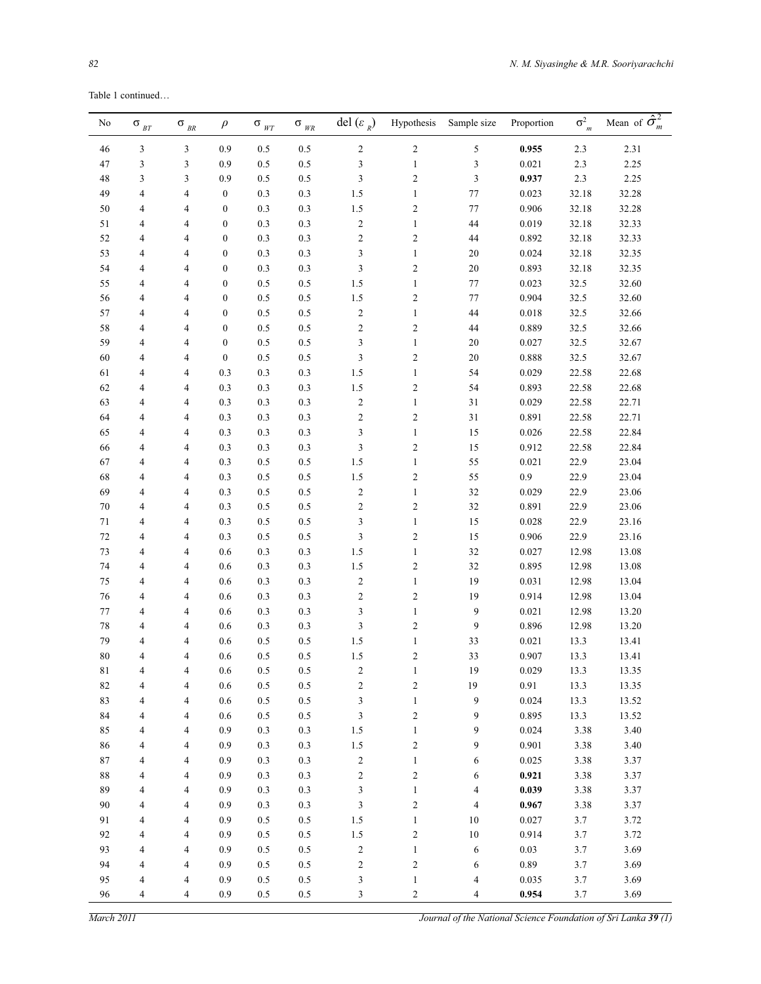Table 1 continued…

| No       | $\sigma$ $_{\scriptscriptstyle BT}$ | $\sigma$ $_{\scriptscriptstyle BR}$ | $\rho$           | $\sigma$ <sub>WT</sub> | $\sigma$ $_{\it WR}$ | del $(\varepsilon_R)$       | Hypothesis       | Sample size             | Proportion | $\sigma_{m}^2$ | Mean of $\hat{\sigma}_m^2$ |
|----------|-------------------------------------|-------------------------------------|------------------|------------------------|----------------------|-----------------------------|------------------|-------------------------|------------|----------------|----------------------------|
| 46       | 3                                   | 3                                   | 0.9              | 0.5                    | $0.5\,$              | $\sqrt{2}$                  | $\sqrt{2}$       | 5                       | 0.955      | 2.3            | 2.31                       |
| 47       | 3                                   | 3                                   | 0.9              | $0.5\,$                | $0.5\,$              | $\mathfrak{Z}$              | $\mathbf{1}$     | $\mathfrak{Z}$          | 0.021      | 2.3            | 2.25                       |
| 48       | 3                                   | 3                                   | 0.9              | 0.5                    | $0.5\,$              | 3                           | $\sqrt{2}$       | $\mathfrak{Z}$          | 0.937      | 2.3            | 2.25                       |
| 49       | $\overline{4}$                      | 4                                   | $\boldsymbol{0}$ | 0.3                    | $0.3\,$              | 1.5                         | $\mathbf{1}$     | $77\,$                  | 0.023      | 32.18          | 32.28                      |
| 50       | $\overline{4}$                      | 4                                   | $\mathbf{0}$     | 0.3                    | $0.3\,$              | 1.5                         | $\overline{c}$   | 77                      | 0.906      | 32.18          | 32.28                      |
| 51       | 4                                   | 4                                   | $\mathbf{0}$     | 0.3                    | $0.3\,$              | $\sqrt{2}$                  | $\mathbf{1}$     | 44                      | 0.019      | 32.18          | 32.33                      |
| 52       | 4                                   | 4                                   | $\mathbf{0}$     | 0.3                    | $0.3\,$              | $\overline{2}$              | $\sqrt{2}$       | 44                      | 0.892      | 32.18          | 32.33                      |
| 53       | 4                                   | 4                                   | $\mathbf{0}$     | 0.3                    | $0.3\,$              | 3                           | $\mathbf{1}$     | 20                      | 0.024      | 32.18          | 32.35                      |
| 54       | 4                                   | 4                                   | $\mathbf{0}$     | 0.3                    | $0.3\,$              | 3                           | $\sqrt{2}$       | $20\,$                  | 0.893      | 32.18          | 32.35                      |
| 55       | 4                                   | 4                                   | $\mathbf{0}$     | 0.5                    | $0.5\,$              | 1.5                         | $\mathbf{1}$     | 77                      | 0.023      | 32.5           | 32.60                      |
| 56       | 4                                   | 4                                   | $\mathbf{0}$     | $0.5\,$                | $0.5\,$              | 1.5                         | $\sqrt{2}$       | 77                      | 0.904      | 32.5           | 32.60                      |
| 57       | 4                                   | 4                                   | $\mathbf{0}$     | 0.5                    | $0.5\,$              | $\sqrt{2}$                  | $\mathbf{1}$     | 44                      | $0.018\,$  | 32.5           | 32.66                      |
| 58       | 4                                   | 4                                   | $\mathbf{0}$     | 0.5                    | $0.5\,$              | $\sqrt{2}$                  | $\sqrt{2}$       | 44                      | 0.889      | 32.5           | 32.66                      |
| 59       | 4                                   | 4                                   | $\mathbf{0}$     | 0.5                    | $0.5\,$              | 3                           | $\mathbf{1}$     | $20\,$                  | 0.027      | 32.5           | 32.67                      |
| 60       | 4                                   | 4                                   | $\mathbf{0}$     | 0.5                    | $0.5\,$              | 3                           | $\sqrt{2}$       | $20\,$                  | 0.888      | 32.5           | 32.67                      |
| 61       | 4                                   | 4                                   | 0.3              | 0.3                    | $0.3\,$              | 1.5                         | $\mathbf{1}$     | 54                      | 0.029      | 22.58          | 22.68                      |
| 62       | 4                                   | 4                                   | 0.3              | 0.3                    | $0.3\,$              | 1.5                         | $\sqrt{2}$       | 54                      | 0.893      | 22.58          | 22.68                      |
| 63       | 4                                   | 4                                   | 0.3              | 0.3                    | $0.3\,$              | $\sqrt{2}$                  | $\mathbf{1}$     | 31                      | 0.029      | 22.58          | 22.71                      |
| 64       | 4                                   | 4                                   | 0.3              | 0.3                    | $0.3\,$              | $\sqrt{2}$                  | $\sqrt{2}$       | 31                      | 0.891      | 22.58          | 22.71                      |
| 65       | 4                                   | 4                                   | 0.3              | 0.3                    | $0.3\,$              | 3                           | $\mathbf{1}$     | 15                      | 0.026      | 22.58          | 22.84                      |
| 66       | 4                                   | 4                                   | 0.3              | 0.3                    | $0.3\,$              | 3                           | $\sqrt{2}$       | 15                      | 0.912      | 22.58          | 22.84                      |
| 67       | 4                                   | 4                                   | 0.3              | $0.5\,$                | $0.5\,$              | 1.5                         | $\mathbf{1}$     | 55                      | 0.021      | 22.9           | 23.04                      |
| 68       | 4                                   | 4                                   | 0.3              | $0.5\,$                | $0.5\,$              | 1.5                         | $\sqrt{2}$       | 55                      | $0.9\,$    | 22.9           | 23.04                      |
| 69       | 4                                   | 4                                   | 0.3              | $0.5\,$                | $0.5\,$              | $\sqrt{2}$                  | $\mathbf{1}$     | 32                      | 0.029      | 22.9           | 23.06                      |
| 70       | 4                                   | 4                                   | 0.3              | $0.5\,$                | $0.5\,$              | $\overline{2}$              | $\sqrt{2}$       | 32                      | 0.891      | 22.9           | 23.06                      |
| 71       | 4                                   | 4                                   | 0.3              | $0.5\,$                | $0.5\,$              | 3                           | $\mathbf{1}$     | 15                      | 0.028      | 22.9           | 23.16                      |
| 72       | 4                                   | 4                                   | 0.3              | $0.5\,$                | $0.5\,$              | $\mathfrak{Z}$              | $\sqrt{2}$       | 15                      | 0.906      | 22.9           | 23.16                      |
| 73       | 4                                   | 4                                   | 0.6              | 0.3                    | $0.3\,$              | 1.5                         | $\mathbf{1}$     | 32                      | 0.027      | 12.98          | 13.08                      |
| 74       | 4                                   | 4                                   | 0.6              | 0.3                    | $0.3\,$              | 1.5                         | $\sqrt{2}$       | 32                      | 0.895      | 12.98          | 13.08                      |
| 75       | 4                                   | 4                                   | 0.6              | 0.3                    | $0.3\,$              | $\sqrt{2}$                  | $\mathbf{1}$     | 19                      | 0.031      | 12.98          | 13.04                      |
| 76       | 4                                   | 4                                   | 0.6              | 0.3                    | $0.3\,$              | $\sqrt{2}$                  | $\sqrt{2}$       | 19                      | 0.914      | 12.98          | 13.04                      |
| 77       | 4                                   | 4                                   | 0.6              | 0.3                    | $0.3\,$              | 3                           | $\mathbf{1}$     | 9                       | 0.021      | 12.98          | 13.20                      |
| 78       | $\overline{4}$                      | 4                                   | 0.6              | 0.3                    | $0.3\,$              | 3                           | $\sqrt{2}$       | 9                       | 0.896      | 12.98          | 13.20                      |
| 79       | 4                                   | 4                                   | $0.6\,$          | 0.5                    | 0.5                  | 1.5                         | $\mathbf{1}$     | 33                      | 0.021      | 13.3           | 13.41                      |
| 80       | 4                                   | 4                                   | 0.6              | 0.5                    | $0.5\,$              | 1.5                         | $\overline{c}$   | 33                      | 0.907      | 13.3           | 13.41                      |
| 81       | 4                                   | 4                                   | $0.6\,$          | 0.5                    | 0.5                  | $\overline{\mathbf{c}}$     | $\mathbf{1}$     | $19\,$                  | 0.029      | 13.3           | 13.35                      |
| 82       | 4                                   | 4                                   | 0.6              | $0.5\,$                | 0.5                  | $\sqrt{2}$                  | $\sqrt{2}$       | 19                      | 0.91       | 13.3           | 13.35                      |
| 83       | $\overline{\mathcal{L}}$            | $\overline{\mathcal{A}}$            | 0.6              | $0.5\,$                | $0.5\,$              | $\ensuremath{\mathfrak{Z}}$ | $\,1$            | 9                       | 0.024      | 13.3           | 13.52                      |
| 84       | 4                                   | $\overline{\mathcal{A}}$            | 0.6              | $0.5\,$                | $0.5\,$              | $\sqrt{3}$                  | $\sqrt{2}$       | 9                       | 0.895      | 13.3           | 13.52                      |
| 85       | 4                                   | $\overline{\mathcal{A}}$            | 0.9              | 0.3                    | $0.3\,$              | 1.5                         | $\,1$            | 9                       | 0.024      | 3.38           | 3.40                       |
| 86       | 4                                   | $\overline{\mathcal{A}}$            | 0.9              | 0.3                    | $0.3\,$              | 1.5                         | $\boldsymbol{2}$ | 9                       | 0.901      | 3.38           | 3.40                       |
| $\bf 87$ | $\overline{\mathcal{L}}$            | $\overline{\mathcal{A}}$            | 0.9              | 0.3                    | $0.3\,$              | $\sqrt{2}$                  | $\,1$            | 6                       | 0.025      | 3.38           | 3.37                       |
| $88\,$   | 4                                   | $\overline{4}$                      | 0.9              | 0.3                    | $0.3\,$              | $\sqrt{2}$                  | $\boldsymbol{2}$ | 6                       | 0.921      | 3.38           | 3.37                       |
| 89       | $\overline{\mathcal{L}}$            | $\overline{4}$                      | 0.9              | 0.3                    | $0.3\,$              | $\sqrt{3}$                  | $\,1\,$          | $\overline{\mathbf{4}}$ | 0.039      | 3.38           | 3.37                       |
| 90       | $\overline{\mathcal{L}}$            | 4                                   | 0.9              | 0.3                    | $0.3\,$              | $\ensuremath{\mathfrak{Z}}$ | $\sqrt{2}$       | $\overline{4}$          | 0.967      | 3.38           | 3.37                       |
| 91       | $\overline{\mathcal{L}}$            | $\overline{4}$                      | 0.9              | $0.5\,$                | $0.5\,$              | 1.5                         | $\,1\,$          | 10                      | 0.027      | 3.7            | 3.72                       |
| 92       | $\overline{\mathcal{L}}$            | 4                                   | 0.9              | $0.5\,$                | $0.5\,$              | $1.5\,$                     | $\sqrt{2}$       | 10                      | 0.914      | 3.7            | 3.72                       |
| 93       | $\overline{\mathcal{L}}$            | 4                                   | 0.9              | $0.5\,$                | $0.5\,$              | $\sqrt{2}$                  | $\mathbf{1}$     | 6                       | 0.03       | 3.7            | 3.69                       |
| 94       | $\overline{\mathcal{L}}$            | $\overline{4}$                      | 0.9              | $0.5\,$                | $0.5\,$              | $\sqrt{2}$                  | $\boldsymbol{2}$ | 6                       | 0.89       | 3.7            | 3.69                       |
| 95       | $\overline{\mathcal{L}}$            | $\overline{4}$                      | 0.9              | $0.5\,$                | $0.5\,$              | $\ensuremath{\mathfrak{Z}}$ | $\mathbf{1}$     | $\overline{4}$          | 0.035      | 3.7            | 3.69                       |
| 96       | $\overline{\mathbf{4}}$             | 4                                   | 0.9              | 0.5                    | $0.5\,$              | 3                           | $\mathfrak{2}$   | $\overline{4}$          | 0.954      | 3.7            | 3.69                       |

*March 2011 Journal of the National Science Foundation of Sri Lanka 39 (1)*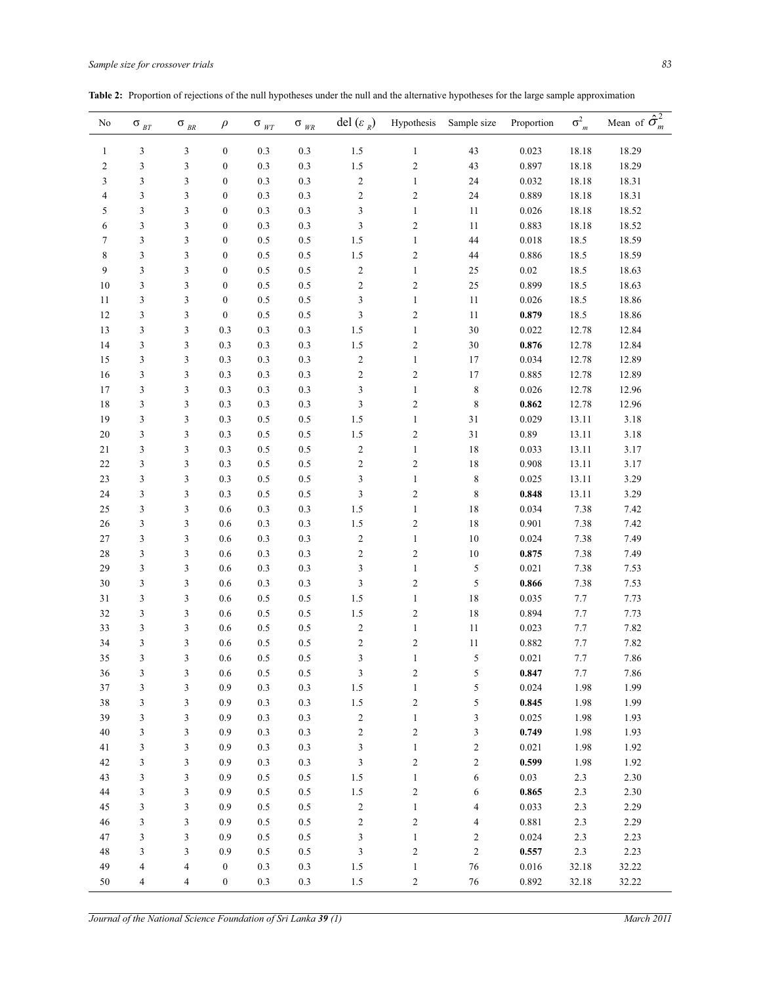| No                      | $\sigma$ $_{\scriptscriptstyle BT}$ | $\sigma$ <sub>BR</sub> | $\rho$           | $\sigma$ $_{\it WT}$ | $\sigma$ $_{\it WR}$ | del $(\varepsilon_R)$   | Hypothesis              | Sample size      | Proportion | $\sigma_{m}^2$ | Mean of $\hat{\sigma}_m^2$ |
|-------------------------|-------------------------------------|------------------------|------------------|----------------------|----------------------|-------------------------|-------------------------|------------------|------------|----------------|----------------------------|
| $\mathbf{1}$            | 3                                   | 3                      | $\boldsymbol{0}$ | 0.3                  | 0.3                  | $1.5\,$                 | $\mathbf{1}$            | 43               | 0.023      | 18.18          | 18.29                      |
| $\overline{\mathbf{c}}$ | $\sqrt{3}$                          | 3                      | $\boldsymbol{0}$ | 0.3                  | 0.3                  | 1.5                     | $\overline{\mathbf{c}}$ | 43               | 0.897      | 18.18          | 18.29                      |
| 3                       | $\mathfrak{Z}$                      | 3                      | $\boldsymbol{0}$ | 0.3                  | 0.3                  | $\sqrt{2}$              | $\mathbf{1}$            | 24               | 0.032      | 18.18          | 18.31                      |
| 4                       | $\mathfrak{Z}$                      | 3                      | $\boldsymbol{0}$ | 0.3                  | 0.3                  | $\sqrt{2}$              | $\overline{\mathbf{c}}$ | 24               | 0.889      | 18.18          | 18.31                      |
| 5                       | $\mathfrak{Z}$                      | 3                      | $\boldsymbol{0}$ | 0.3                  | 0.3                  | 3                       | $\,1\,$                 | 11               | 0.026      | 18.18          | 18.52                      |
| 6                       | 3                                   | 3                      | $\boldsymbol{0}$ | 0.3                  | 0.3                  | 3                       | $\overline{\mathbf{c}}$ | $11\,$           | 0.883      | 18.18          | 18.52                      |
| 7                       | $\mathfrak{Z}$                      | 3                      | $\boldsymbol{0}$ | 0.5                  | 0.5                  | 1.5                     | $\,1\,$                 | 44               | 0.018      | 18.5           | 18.59                      |
| 8                       | $\mathfrak{Z}$                      | 3                      | $\boldsymbol{0}$ | 0.5                  | 0.5                  | 1.5                     | $\overline{\mathbf{c}}$ | 44               | 0.886      | 18.5           | 18.59                      |
| 9                       | $\mathfrak{Z}$                      | 3                      | $\boldsymbol{0}$ | 0.5                  | 0.5                  | $\overline{\mathbf{c}}$ | $\,1\,$                 | 25               | $0.02\,$   | 18.5           | 18.63                      |
| 10                      | $\mathfrak{Z}$                      | 3                      | $\boldsymbol{0}$ | 0.5                  | 0.5                  | $\mathfrak{2}$          | $\overline{\mathbf{c}}$ | $25\,$           | 0.899      | 18.5           | 18.63                      |
| 11                      | $\mathfrak{Z}$                      | 3                      | $\boldsymbol{0}$ | 0.5                  | 0.5                  | 3                       | $\,1\,$                 | $11\,$           | 0.026      | 18.5           | 18.86                      |
| 12                      | $\mathfrak{Z}$                      | 3                      | $\boldsymbol{0}$ | 0.5                  | 0.5                  | 3                       | $\overline{\mathbf{c}}$ | $11\,$           | 0.879      | 18.5           | 18.86                      |
| 13                      | $\mathfrak{Z}$                      | 3                      | 0.3              | 0.3                  | 0.3                  | 1.5                     | $\mathbf{1}$            | $30\,$           | 0.022      | 12.78          | 12.84                      |
| 14                      | $\mathfrak{Z}$                      | 3                      | 0.3              | 0.3                  | 0.3                  | 1.5                     | $\overline{\mathbf{c}}$ | $30\,$           | 0.876      | 12.78          | 12.84                      |
| 15                      | $\mathfrak{Z}$                      | 3                      | 0.3              | 0.3                  | 0.3                  | $\sqrt{2}$              | $\mathbf{1}$            | 17               | 0.034      | 12.78          | 12.89                      |
| 16                      | $\mathfrak{Z}$                      | 3                      | 0.3              | 0.3                  | 0.3                  | $\sqrt{2}$              | $\overline{\mathbf{c}}$ | 17               | 0.885      | 12.78          | 12.89                      |
| 17                      | $\mathfrak{Z}$                      | 3                      | 0.3              | 0.3                  | 0.3                  | 3                       | $\,1\,$                 | $\,$ $\,$        | 0.026      | 12.78          | 12.96                      |
| 18                      | $\mathfrak{Z}$                      | 3                      | 0.3              | 0.3                  | 0.3                  | 3                       | $\overline{\mathbf{c}}$ | $\,$ $\,$        | 0.862      | 12.78          | 12.96                      |
| 19                      | $\mathfrak{Z}$                      | 3                      | 0.3              | 0.5                  | 0.5                  | 1.5                     | $\,1\,$                 | 31               | 0.029      | 13.11          | 3.18                       |
| 20                      | $\mathfrak{Z}$                      | 3                      | 0.3              | 0.5                  | 0.5                  | 1.5                     | $\overline{\mathbf{c}}$ | 31               | 0.89       | 13.11          | 3.18                       |
| $21\,$                  | $\mathfrak{Z}$                      | 3                      | 0.3              | 0.5                  | 0.5                  | $\overline{\mathbf{c}}$ | $\mathbf{1}$            | $18\,$           | 0.033      | 13.11          | 3.17                       |
| 22                      | $\mathfrak{Z}$                      | 3                      | 0.3              | 0.5                  | 0.5                  | $\sqrt{2}$              | $\overline{\mathbf{c}}$ | $18\,$           | 0.908      | 13.11          | 3.17                       |
| 23                      | $\mathfrak{Z}$                      | 3                      | 0.3              | 0.5                  | 0.5                  | 3                       | $\mathbf{1}$            | $\,$ $\,$        | 0.025      | 13.11          | 3.29                       |
| 24                      | $\mathfrak{Z}$                      | 3                      | 0.3              | 0.5                  | 0.5                  | 3                       | $\overline{\mathbf{c}}$ | $\,$ $\,$        | 0.848      | 13.11          | 3.29                       |
| 25                      | $\mathfrak{Z}$                      | 3                      | $0.6\,$          | 0.3                  | 0.3                  | 1.5                     | $\mathbf{1}$            | $18\,$           | 0.034      | 7.38           | 7.42                       |
| 26                      | $\mathfrak{Z}$                      | 3                      | $0.6\,$          | 0.3                  | 0.3                  | 1.5                     | $\overline{\mathbf{c}}$ | 18               | 0.901      | 7.38           | 7.42                       |
| 27                      | $\mathfrak{Z}$                      | 3                      | $0.6\,$          | 0.3                  | 0.3                  | $\sqrt{2}$              | $\mathbf{1}$            | $10\,$           | 0.024      | 7.38           | 7.49                       |
| 28                      | $\mathfrak{Z}$                      | 3                      | $0.6\,$          | 0.3                  | 0.3                  | $\sqrt{2}$              | $\overline{\mathbf{c}}$ | $10\,$           | 0.875      | 7.38           | 7.49                       |
| 29                      | $\mathfrak{Z}$                      | 3                      | $0.6\,$          | 0.3                  | 0.3                  | 3                       | $\mathbf{1}$            | 5                | 0.021      | 7.38           | 7.53                       |
| 30                      | 3                                   | 3                      | $0.6\,$          | 0.3                  | 0.3                  | 3                       | $\overline{\mathbf{c}}$ | 5                | 0.866      | 7.38           | 7.53                       |
| 31                      | $\mathfrak{Z}$                      | 3                      | $0.6\,$          | 0.5                  | 0.5                  | 1.5                     | $\mathbf{1}$            | $18\,$           | 0.035      | $7.7\,$        | 7.73                       |
| 32                      | $\mathfrak{Z}$                      | 3                      | $0.6\,$          | 0.5                  | 0.5                  | 1.5                     | $\overline{\mathbf{c}}$ | $18\,$           | 0.894      | 7.7            | 7.73                       |
| 33                      | $\mathfrak{Z}$                      | 3                      | $0.6\,$          | 0.5                  | 0.5                  | $\sqrt{2}$              | $\mathbf{1}$            | $11\,$           | 0.023      | 7.7            | 7.82                       |
| 34                      | $\mathfrak{Z}$                      | 3                      | $0.6\,$          | 0.5                  | 0.5                  | $\mathfrak{2}$          | $\overline{\mathbf{c}}$ | $11\,$           | 0.882      | 7.7            | 7.82                       |
| 35                      | 3                                   | 3                      | $0.6\,$          | 0.5                  | 0.5                  | 3                       | $\mathbf{1}$            | 5                | 0.021      | 7.7            | 7.86                       |
| 36                      | 3                                   | 3                      | 0.6              | 0.5                  | $0.5\,$              | 3                       | 2                       | 5                | 0.847      | 7.7            | 7.86                       |
| 37                      | $\mathfrak{Z}$                      | 3                      | 0.9              | 0.3                  | 0.3                  | $1.5\,$                 | $\mathbf{1}$            | 5                | 0.024      | 1.98           | 1.99                       |
| 38                      | $\mathfrak{Z}$                      | 3                      | 0.9              | 0.3                  | 0.3                  | $1.5\,$                 | $\overline{c}$          | 5                | 0.845      | 1.98           | 1.99                       |
| 39                      | 3                                   | 3                      | 0.9              | 0.3                  | 0.3                  | $\boldsymbol{2}$        | $\mathbf{1}$            | 3                | 0.025      | 1.98           | 1.93                       |
| 40                      | $\mathfrak{Z}$                      | 3                      | 0.9              | 0.3                  | 0.3                  | $\mathbf{2}$            | $\overline{c}$          | 3                | 0.749      | 1.98           | 1.93                       |
| 41                      | 3                                   | 3                      | 0.9              | 0.3                  | 0.3                  | 3                       | $\mathbf{1}$            | $\overline{c}$   | 0.021      | 1.98           | 1.92                       |
| 42                      | $\mathfrak{Z}$                      | 3                      | 0.9              | 0.3                  | 0.3                  | 3                       | $\overline{c}$          | $\boldsymbol{2}$ | 0.599      | 1.98           | 1.92                       |
| 43                      | 3                                   | 3                      | 0.9              | 0.5                  | 0.5                  | $1.5\,$                 | $\mathbf{1}$            | 6                | 0.03       | 2.3            | 2.30                       |
| 44                      | 3                                   | 3                      | 0.9              | $0.5\,$              | 0.5                  | $1.5\,$                 | $\overline{c}$          | 6                | 0.865      | 2.3            | 2.30                       |
| 45                      | $\mathfrak{Z}$                      | 3                      | 0.9              | 0.5                  | 0.5                  | $\overline{c}$          | $\mathbf{1}$            | 4                | 0.033      | 2.3            | 2.29                       |
| 46                      | 3                                   | 3                      | 0.9              | 0.5                  | 0.5                  | $\overline{c}$          | $\overline{c}$          | 4                | $0.881\,$  | 2.3            | 2.29                       |
| 47                      | 3                                   | 3                      | 0.9              | 0.5                  | 0.5                  | 3                       | $\mathbf{1}$            | $\boldsymbol{2}$ | 0.024      | 2.3            | 2.23                       |
| 48                      | 3                                   | 3                      | 0.9              | 0.5                  | 0.5                  | 3                       | $\overline{c}$          | $\overline{c}$   | 0.557      | 2.3            | 2.23                       |
| 49                      | 4                                   | 4                      | $\boldsymbol{0}$ | 0.3                  | 0.3                  | $1.5\,$                 | $\mathbf{1}$            | $76\,$           | $0.016\,$  | 32.18          | 32.22                      |
| 50                      | $\overline{4}$                      | 4                      | $\overline{0}$   | 0.3                  | 0.3                  | $1.5\,$                 | $\overline{2}$          | 76               | 0.892      | 32.18          | 32.22                      |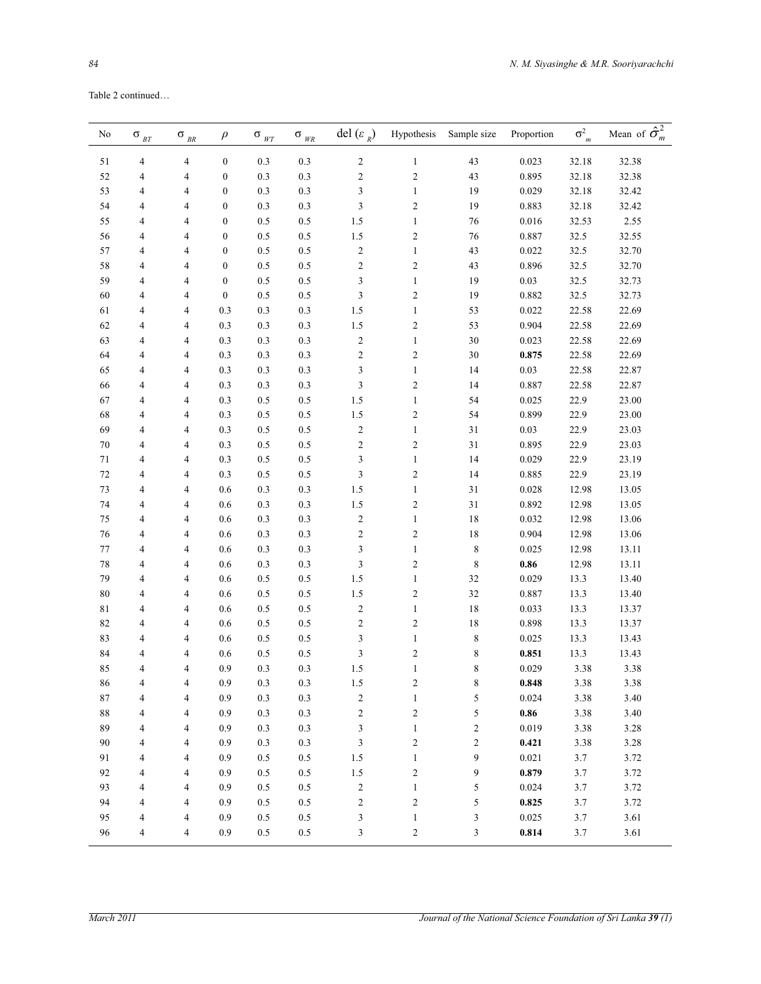| No | $\sigma$ $_{\scriptscriptstyle BT}$ | $\sigma$ $_{\scriptscriptstyle BR}$ | $\rho$           | $\sigma$ $_{\it WT}$ | $\sigma$ $_{\it WR}$ | del $(\varepsilon_R)$ | Hypothesis              | Sample size    | Proportion | $\sigma_{m}^2$ | Mean of $\hat{\sigma}_m^2$ |
|----|-------------------------------------|-------------------------------------|------------------|----------------------|----------------------|-----------------------|-------------------------|----------------|------------|----------------|----------------------------|
| 51 | $\overline{4}$                      | $\overline{4}$                      | $\boldsymbol{0}$ | $0.3\,$              | $0.3\,$              | $\sqrt{2}$            | $\mathbf{1}$            | 43             | 0.023      | 32.18          | 32.38                      |
| 52 | $\overline{4}$                      | 4                                   | $\boldsymbol{0}$ | 0.3                  | 0.3                  | $\sqrt{2}$            | $\overline{c}$          | 43             | 0.895      | 32.18          | 32.38                      |
| 53 | $\overline{4}$                      | 4                                   | $\boldsymbol{0}$ | 0.3                  | 0.3                  | 3                     | $\mathbf{1}$            | 19             | 0.029      | 32.18          | 32.42                      |
| 54 | $\overline{4}$                      | 4                                   | $\boldsymbol{0}$ | 0.3                  | 0.3                  | $\mathfrak{Z}$        | $\boldsymbol{2}$        | 19             | 0.883      | 32.18          | 32.42                      |
| 55 | $\overline{4}$                      | 4                                   | $\boldsymbol{0}$ | 0.5                  | $0.5\,$              | 1.5                   | $\mathbf{1}$            | 76             | 0.016      | 32.53          | 2.55                       |
| 56 | $\overline{4}$                      | 4                                   | $\boldsymbol{0}$ | 0.5                  | $0.5\,$              | 1.5                   | $\overline{\mathbf{c}}$ | 76             | 0.887      | 32.5           | 32.55                      |
| 57 | $\overline{4}$                      | 4                                   | $\boldsymbol{0}$ | 0.5                  | $0.5\,$              | $\sqrt{2}$            | $\mathbf{1}$            | 43             | 0.022      | 32.5           | 32.70                      |
| 58 | $\overline{4}$                      | 4                                   | $\boldsymbol{0}$ | 0.5                  | $0.5\,$              | $\sqrt{2}$            | $\boldsymbol{2}$        | 43             | 0.896      | 32.5           | 32.70                      |
| 59 | $\overline{4}$                      | 4                                   | $\boldsymbol{0}$ | 0.5                  | 0.5                  | 3                     | $\mathbf{1}$            | 19             | $0.03\,$   | 32.5           | 32.73                      |
| 60 | $\overline{4}$                      | 4                                   | $\boldsymbol{0}$ | 0.5                  | 0.5                  | $\mathfrak{Z}$        | $\overline{\mathbf{c}}$ | 19             | 0.882      | 32.5           | 32.73                      |
| 61 | $\overline{4}$                      | 4                                   | 0.3              | 0.3                  | 0.3                  | 1.5                   | $\mathbf{1}$            | 53             | 0.022      | 22.58          | 22.69                      |
| 62 | $\overline{4}$                      | 4                                   | 0.3              | 0.3                  | 0.3                  | 1.5                   | $\overline{\mathbf{c}}$ | 53             | 0.904      | 22.58          | 22.69                      |
| 63 | $\overline{4}$                      | 4                                   | 0.3              | 0.3                  | 0.3                  | $\sqrt{2}$            | $\mathbf{1}$            | $30\,$         | 0.023      | 22.58          | 22.69                      |
| 64 | $\overline{4}$                      | 4                                   | 0.3              | 0.3                  | 0.3                  | $\sqrt{2}$            | $\sqrt{2}$              | $30\,$         | 0.875      | 22.58          | 22.69                      |
| 65 | $\overline{4}$                      | 4                                   | 0.3              | 0.3                  | 0.3                  | 3                     | $\mathbf{1}$            | 14             | $0.03\,$   | 22.58          | 22.87                      |
| 66 | $\overline{4}$                      | 4                                   | 0.3              | 0.3                  | 0.3                  | $\mathfrak{Z}$        | $\overline{\mathbf{c}}$ | 14             | 0.887      | 22.58          | 22.87                      |
| 67 | $\overline{4}$                      | 4                                   | 0.3              | 0.5                  | 0.5                  | 1.5                   | $\mathbf{1}$            | 54             | 0.025      | 22.9           | 23.00                      |
| 68 | $\overline{4}$                      | 4                                   | 0.3              | 0.5                  | $0.5\,$              | 1.5                   | $\sqrt{2}$              | 54             | 0.899      | 22.9           | 23.00                      |
| 69 | $\overline{4}$                      | 4                                   | 0.3              | 0.5                  | $0.5\,$              | $\sqrt{2}$            | $\mathbf{1}$            | $3\sqrt{1}$    | $0.03\,$   | 22.9           | 23.03                      |
| 70 | $\overline{4}$                      | 4                                   | 0.3              | 0.5                  | 0.5                  | $\sqrt{2}$            | $\sqrt{2}$              | 31             | 0.895      | 22.9           | 23.03                      |
| 71 | $\overline{4}$                      | 4                                   | 0.3              | 0.5                  | 0.5                  | 3                     | $\mathbf{1}$            | 14             | 0.029      | 22.9           | 23.19                      |
| 72 | $\overline{4}$                      | 4                                   | 0.3              | 0.5                  | 0.5                  | 3                     | $\overline{\mathbf{c}}$ | 14             | 0.885      | 22.9           | 23.19                      |
| 73 | $\overline{4}$                      | 4                                   | 0.6              | 0.3                  | 0.3                  | 1.5                   | $\mathbf{1}$            | $31\,$         | 0.028      | 12.98          | 13.05                      |
| 74 | $\overline{4}$                      | 4                                   | 0.6              | 0.3                  | 0.3                  | 1.5                   | $\sqrt{2}$              | 31             | 0.892      | 12.98          | 13.05                      |
| 75 | $\overline{4}$                      | 4                                   | 0.6              | 0.3                  | 0.3                  | $\sqrt{2}$            | $\mathbf{1}$            | 18             | 0.032      | 12.98          | 13.06                      |
| 76 | $\overline{4}$                      | 4                                   | 0.6              | 0.3                  | 0.3                  | $\sqrt{2}$            | $\overline{\mathbf{c}}$ | $18\,$         | 0.904      | 12.98          | 13.06                      |
| 77 | $\overline{4}$                      | 4                                   | 0.6              | 0.3                  | 0.3                  | 3                     | $\mathbf{1}$            | $\,$ 8 $\,$    | 0.025      | 12.98          | 13.11                      |
| 78 | $\overline{4}$                      | 4                                   | 0.6              | 0.3                  | 0.3                  | 3                     | $\overline{\mathbf{c}}$ | $\,$ $\,$      | $\bf 0.86$ | 12.98          | 13.11                      |
| 79 | $\overline{4}$                      | 4                                   | 0.6              | 0.5                  | 0.5                  | 1.5                   | $\mathbf{1}$            | 32             | 0.029      | 13.3           | 13.40                      |
| 80 | $\overline{4}$                      | 4                                   | 0.6              | 0.5                  | $0.5\,$              | 1.5                   | $\sqrt{2}$              | 32             | 0.887      | 13.3           | 13.40                      |
| 81 | $\overline{4}$                      | 4                                   | 0.6              | 0.5                  | $0.5\,$              | $\sqrt{2}$            | $\mathbf{1}$            | $18\,$         | 0.033      | 13.3           | 13.37                      |
| 82 | $\overline{4}$                      | 4                                   | 0.6              | 0.5                  | 0.5                  | $\sqrt{2}$            | $\overline{c}$          | $18\,$         | 0.898      | 13.3           | 13.37                      |
| 83 | 4                                   | 4                                   | 0.6              | 0.5                  | $0.5\,$              | 3                     | $\mathbf{1}$            | $\,$ 8 $\,$    | 0.025      | 13.3           | 13.43                      |
| 84 | 4                                   | 4                                   | 0.6              | 0.5                  | 0.5                  | 3                     | $\sqrt{2}$              | $\,$ $\,$      | 0.851      | 13.3           | 13.43                      |
| 85 | 4                                   | 4                                   | 0.9              | 0.3                  | 0.3                  | 1.5                   | $\mathbf{1}$            | $\,$ 8 $\,$    | 0.029      | 3.38           | 3.38                       |
| 86 | 4                                   | 4                                   | 0.9              | 0.3                  | 0.3                  | 1.5                   | $\overline{c}$          | 8              | 0.848      | 3.38           | 3.38                       |
| 87 | 4                                   | 4                                   | 0.9              | 0.3                  | $0.3\,$              | $\sqrt{2}$            | $\mathbf{1}$            | 5              | 0.024      | 3.38           | 3.40                       |
| 88 | 4                                   | 4                                   | 0.9              | 0.3                  | $0.3\,$              | $\sqrt{2}$            | $\boldsymbol{2}$        | 5              | $\bf 0.86$ | 3.38           | 3.40                       |
| 89 | $\overline{4}$                      | 4                                   | 0.9              | 0.3                  | 0.3                  | 3                     | $\mathbf{1}$            | $\overline{c}$ | 0.019      | 3.38           | 3.28                       |
| 90 | 4                                   | 4                                   | 0.9              | 0.3                  | 0.3                  | 3                     | $\boldsymbol{2}$        | $\overline{c}$ | 0.421      | 3.38           | 3.28                       |
| 91 | 4                                   | 4                                   | 0.9              | 0.5                  | $0.5\,$              | 1.5                   | $\mathbf{1}$            | 9              | 0.021      | 3.7            | 3.72                       |
| 92 | 4                                   | 4                                   | 0.9              | 0.5                  | $0.5\,$              | 1.5                   | $\boldsymbol{2}$        | 9              | 0.879      | 3.7            | 3.72                       |
| 93 | 4                                   | 4                                   | 0.9              | 0.5                  | 0.5                  | $\sqrt{2}$            | $\mathbf{1}$            | 5              | 0.024      | 3.7            | 3.72                       |
| 94 | $\overline{4}$                      | 4                                   | 0.9              | 0.5                  | $0.5\,$              | $\overline{c}$        | $\boldsymbol{2}$        | 5              | 0.825      | 3.7            | 3.72                       |
| 95 | 4                                   | 4                                   | 0.9              | 0.5                  | 0.5                  | 3                     | $\mathbf{1}$            | 3              | 0.025      | 3.7            | 3.61                       |
| 96 | 4                                   | 4                                   | 0.9              | 0.5                  | 0.5                  | 3                     | $\overline{c}$          | 3              | 0.814      | 3.7            | 3.61                       |
|    |                                     |                                     |                  |                      |                      |                       |                         |                |            |                |                            |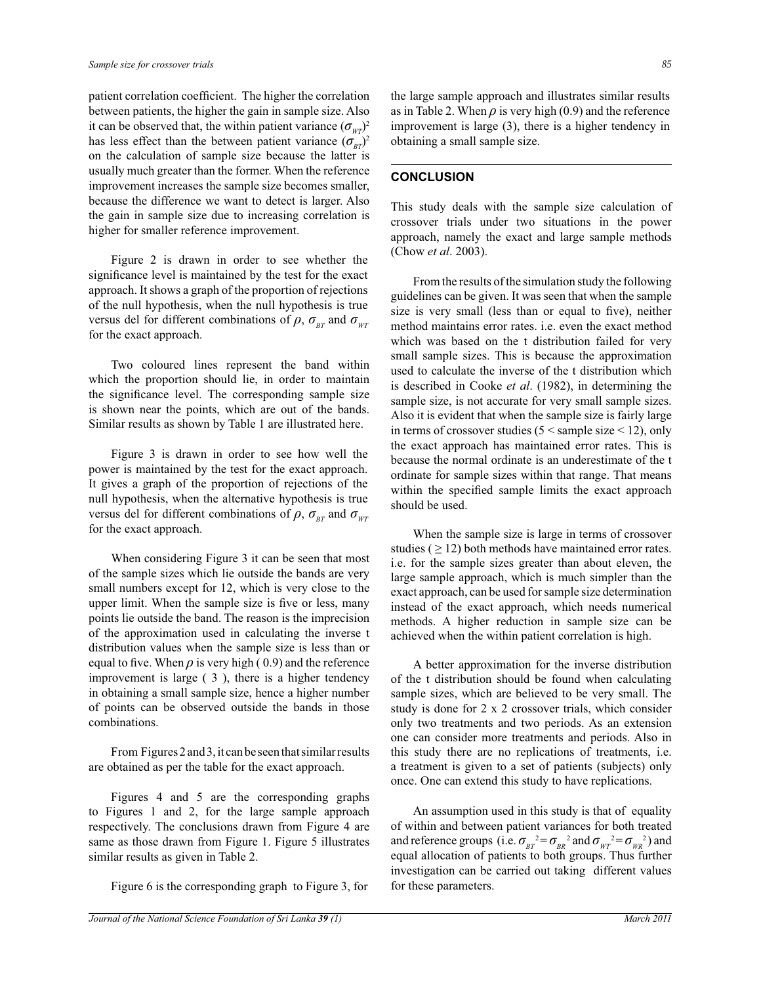patient correlation coefficient. The higher the correlation between patients, the higher the gain in sample size. Also it can be observed that, the within patient variance  $(\sigma_{\text{WP}})^2$ has less effect than the between patient variance  $(\sigma_{BT})^2$ on the calculation of sample size because the latter is usually much greater than the former. When the reference improvement increases the sample size becomes smaller, because the difference we want to detect is larger. Also the gain in sample size due to increasing correlation is higher for smaller reference improvement.

 Figure 2 is drawn in order to see whether the significance level is maintained by the test for the exact approach. It shows a graph of the proportion of rejections of the null hypothesis, when the null hypothesis is true versus del for different combinations of  $\rho$ ,  $\sigma_{BT}$  and  $\sigma_{WT}$ for the exact approach.

 Two coloured lines represent the band within which the proportion should lie, in order to maintain the significance level. The corresponding sample size is shown near the points, which are out of the bands. Similar results as shown by Table 1 are illustrated here.

 Figure 3 is drawn in order to see how well the power is maintained by the test for the exact approach. It gives a graph of the proportion of rejections of the null hypothesis, when the alternative hypothesis is true versus del for different combinations of  $\rho$ ,  $\sigma_{BT}$  and  $\sigma_{WT}$ for the exact approach.

 When considering Figure 3 it can be seen that most of the sample sizes which lie outside the bands are very small numbers except for 12, which is very close to the upper limit. When the sample size is five or less, many points lie outside the band. The reason is the imprecision of the approximation used in calculating the inverse t distribution values when the sample size is less than or equal to five. When  $\rho$  is very high (0.9) and the reference improvement is large ( 3 ), there is a higher tendency in obtaining a small sample size, hence a higher number of points can be observed outside the bands in those combinations.

 From Figures 2 and 3, it can be seen that similar results are obtained as per the table for the exact approach.

 Figures 4 and 5 are the corresponding graphs to Figures 1 and 2, for the large sample approach respectively. The conclusions drawn from Figure 4 are same as those drawn from Figure 1. Figure 5 illustrates similar results as given in Table 2.

Figure 6 is the corresponding graph to Figure 3, for

the large sample approach and illustrates similar results as in Table 2. When  $\rho$  is very high (0.9) and the reference improvement is large (3), there is a higher tendency in obtaining a small sample size.

# **CONCLUSION**

This study deals with the sample size calculation of crossover trials under two situations in the power approach, namely the exact and large sample methods (Chow *et al*. 2003).

 From the results of the simulation study the following guidelines can be given. It was seen that when the sample size is very small (less than or equal to five), neither method maintains error rates. i.e. even the exact method which was based on the t distribution failed for very small sample sizes. This is because the approximation used to calculate the inverse of the t distribution which is described in Cooke *et al*. (1982), in determining the sample size, is not accurate for very small sample sizes. Also it is evident that when the sample size is fairly large in terms of crossover studies ( $5 <$  sample size  $< 12$ ), only the exact approach has maintained error rates. This is because the normal ordinate is an underestimate of the t ordinate for sample sizes within that range. That means within the specified sample limits the exact approach should be used.

 When the sample size is large in terms of crossover studies ( $\geq$  12) both methods have maintained error rates. i.e. for the sample sizes greater than about eleven, the large sample approach, which is much simpler than the exact approach, can be used for sample size determination instead of the exact approach, which needs numerical methods. A higher reduction in sample size can be achieved when the within patient correlation is high.

 A better approximation for the inverse distribution of the t distribution should be found when calculating sample sizes, which are believed to be very small. The study is done for 2 x 2 crossover trials, which consider only two treatments and two periods. As an extension one can consider more treatments and periods. Also in this study there are no replications of treatments, i.e. a treatment is given to a set of patients (subjects) only once. One can extend this study to have replications.

 An assumption used in this study is that of equality of within and between patient variances for both treated and reference groups (i.e.  $\sigma_{BT}^2 = \sigma_{BT}^2$  and  $\sigma_{WT}^2 = \sigma_{WR}^2$ ) and equal allocation of patients to both groups. Thus further investigation can be carried out taking different values for these parameters.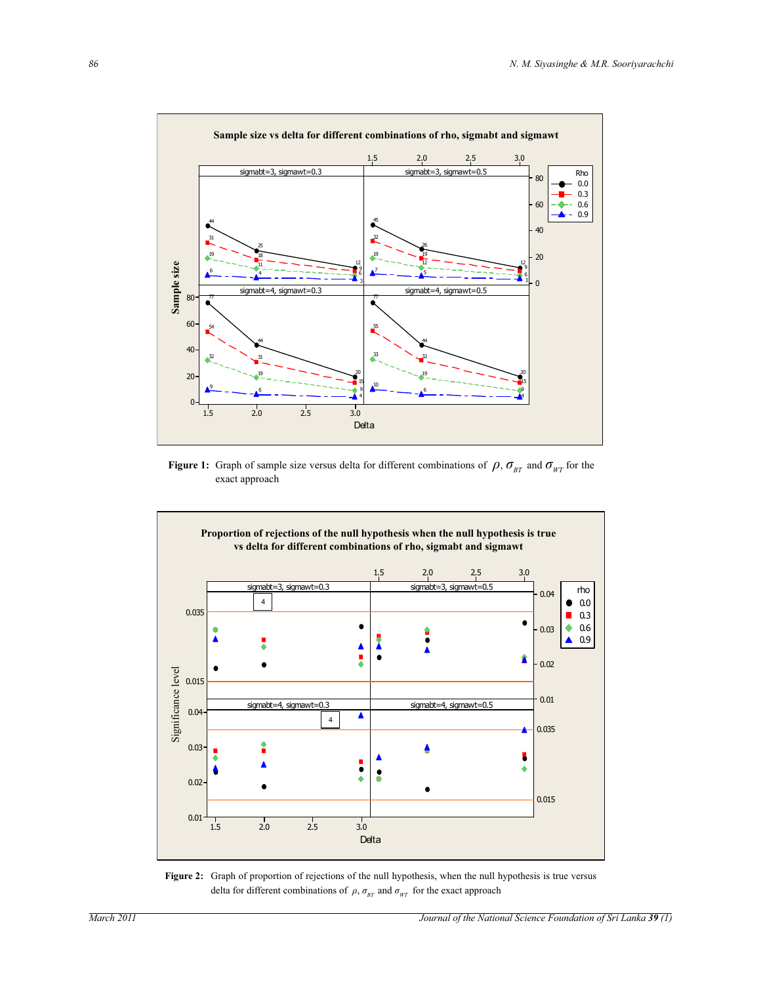

**Figure 1:** Graph of sample size versus delta for different combinations of  $\rho$ ,  $\sigma_{BT}$  and  $\sigma_{WT}$  for the exact approach



Figure 2: Graph of proportion of rejections of the null hypothesis, when the null hypothesis is true versus delta for different combinations of  $\rho$ ,  $\sigma_{BT}$  and  $\sigma_{WT}$  for the exact approach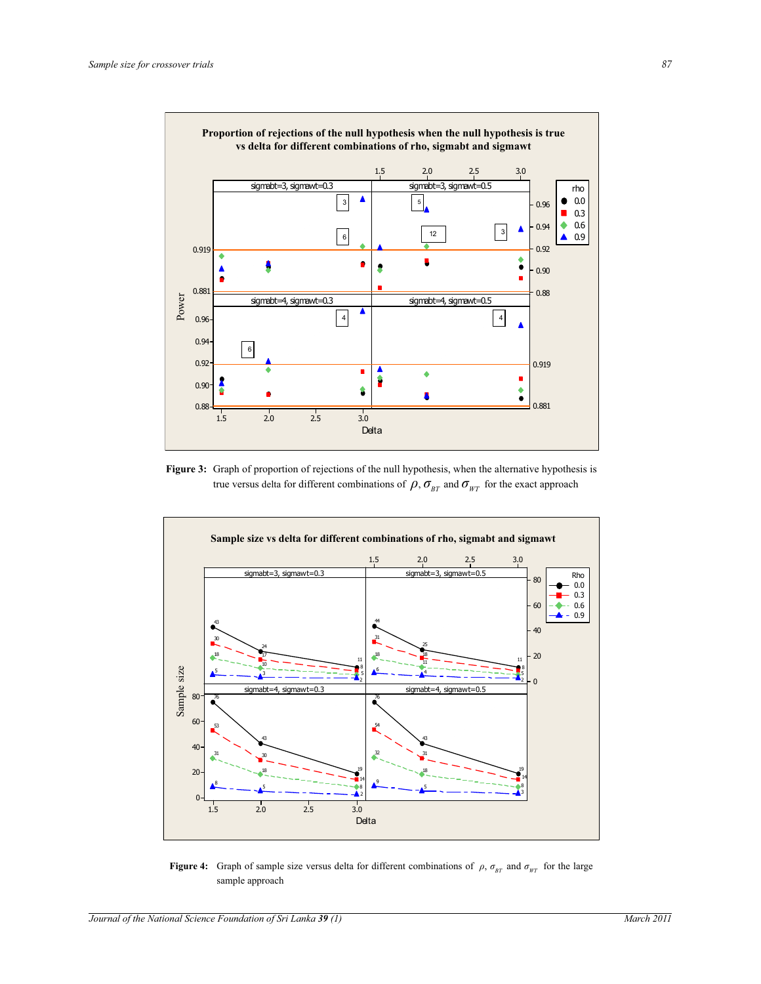Power Power 0.881

0.919

٠

0.96



4 4 4



**Figure 3:** Graph of proportion of rejections of the null hypothesis, when the alternative hypothesis is true versus delta for different combinations of  $\rho$ ,  $\sigma_{BT}$  and  $\sigma_{WT}$  for the exact approach



**Figure 4:** Graph of sample size versus delta for different combinations of  $\rho$ ,  $\sigma_{BT}$  and  $\sigma_{WT}$  for the large sample approach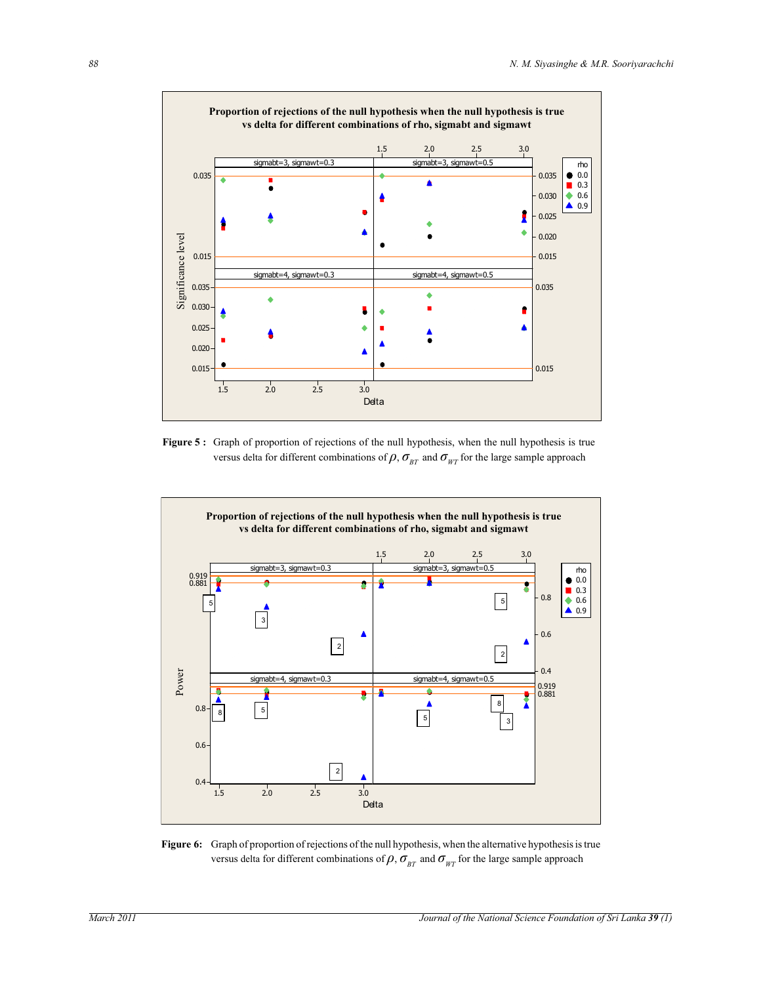

**Figure 5 :** Graph of proportion of rejections of the null hypothesis, when the null hypothesis is true versus delta for different combinations of  $\rho$ ,  $\sigma_{BT}$  and  $\sigma_{WT}$  for the large sample approach



**Figure 6:** Graph of proportion of rejections of the null hypothesis, when the alternative hypothesis is true versus delta for different combinations of  $\rho$ ,  $\sigma_{BT}$  and  $\sigma_{WT}$  for the large sample approach